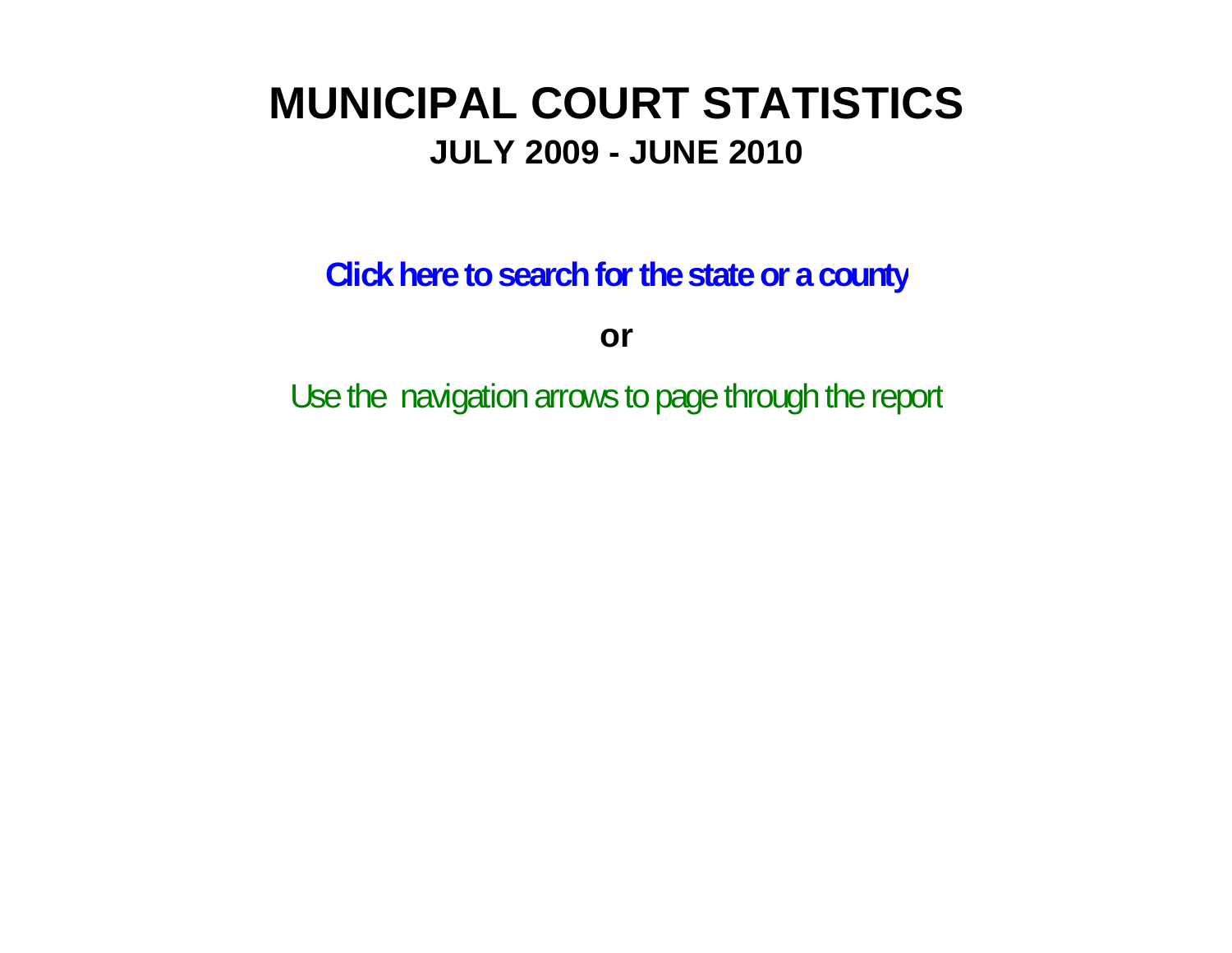# **MUNICIPAL COURT STATISTICSJULY 2009 - JUNE 2010**

**Click here to search for the state or a county**

**or**

Use the navigation arrows to page through the report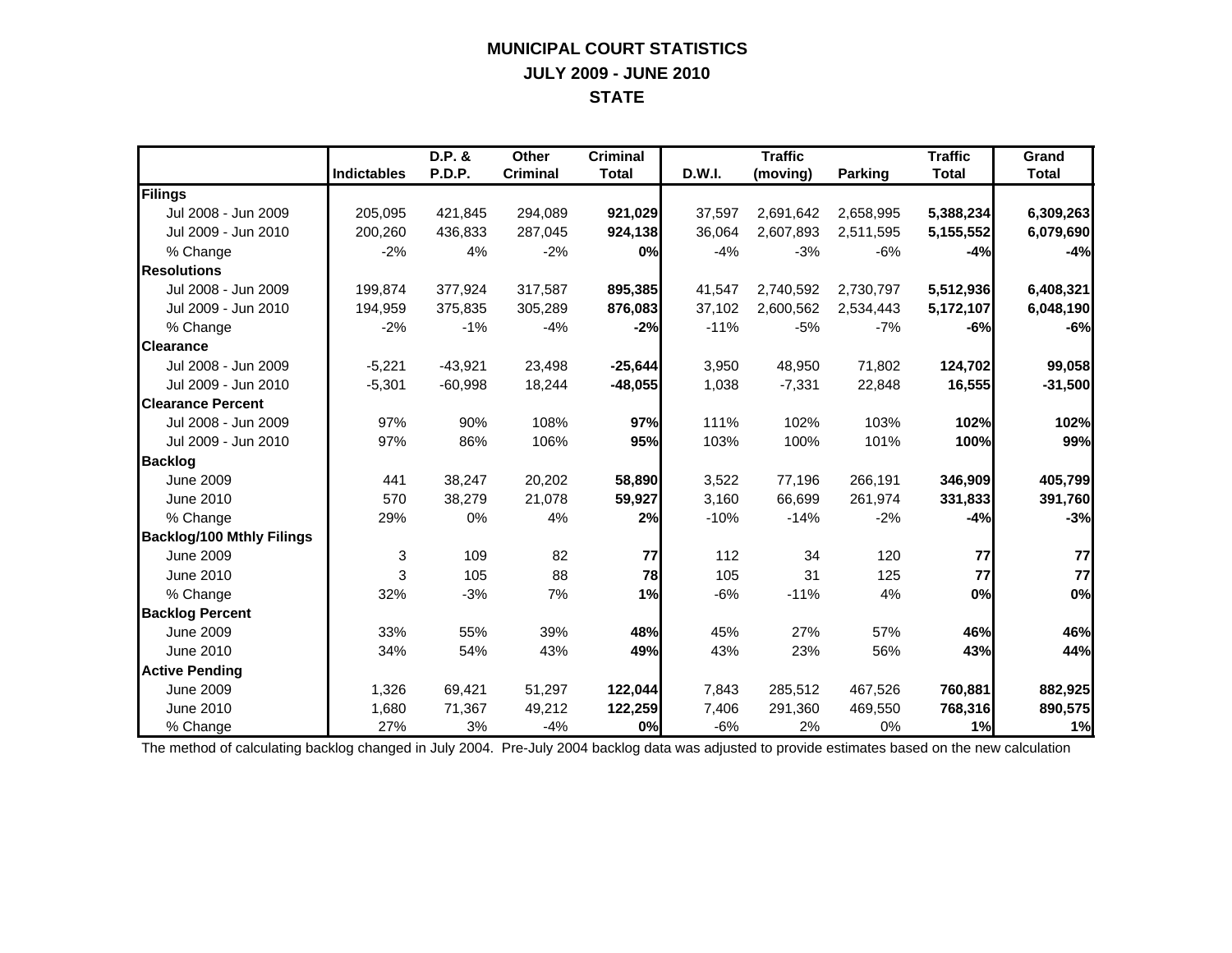## **MUNICIPAL COURT STATISTICS JULY 2009 - JUNE 2010 STATE**

|                                  |                    | D.P. &    | Other           | <b>Criminal</b> |        | <b>Traffic</b> |                | <b>Traffic</b> | Grand        |
|----------------------------------|--------------------|-----------|-----------------|-----------------|--------|----------------|----------------|----------------|--------------|
|                                  | <b>Indictables</b> | P.D.P.    | <b>Criminal</b> | <b>Total</b>    | D.W.I. | (moving)       | <b>Parking</b> | <b>Total</b>   | <b>Total</b> |
| Filings                          |                    |           |                 |                 |        |                |                |                |              |
| Jul 2008 - Jun 2009              | 205,095            | 421,845   | 294,089         | 921,029         | 37,597 | 2,691,642      | 2,658,995      | 5,388,234      | 6,309,263    |
| Jul 2009 - Jun 2010              | 200,260            | 436,833   | 287,045         | 924,138         | 36,064 | 2,607,893      | 2,511,595      | 5,155,552      | 6,079,690    |
| % Change                         | $-2%$              | 4%        | $-2%$           | 0%              | $-4%$  | $-3%$          | $-6%$          | $-4%$          | $-4%$        |
| <b>Resolutions</b>               |                    |           |                 |                 |        |                |                |                |              |
| Jul 2008 - Jun 2009              | 199.874            | 377.924   | 317.587         | 895,385         | 41.547 | 2,740,592      | 2,730,797      | 5,512,936      | 6,408,321    |
| Jul 2009 - Jun 2010              | 194,959            | 375,835   | 305,289         | 876,083         | 37,102 | 2,600,562      | 2,534,443      | 5,172,107      | 6,048,190    |
| % Change                         | $-2%$              | $-1%$     | $-4%$           | $-2%$           | $-11%$ | $-5%$          | $-7%$          | -6%            | $-6%$        |
| <b>Clearance</b>                 |                    |           |                 |                 |        |                |                |                |              |
| Jul 2008 - Jun 2009              | $-5,221$           | $-43,921$ | 23,498          | $-25,644$       | 3,950  | 48,950         | 71,802         | 124,702        | 99,058       |
| Jul 2009 - Jun 2010              | $-5,301$           | $-60,998$ | 18,244          | $-48,055$       | 1,038  | $-7,331$       | 22,848         | 16,555         | $-31,500$    |
| <b>Clearance Percent</b>         |                    |           |                 |                 |        |                |                |                |              |
| Jul 2008 - Jun 2009              | 97%                | 90%       | 108%            | 97%             | 111%   | 102%           | 103%           | 102%           | 102%         |
| Jul 2009 - Jun 2010              | 97%                | 86%       | 106%            | 95%             | 103%   | 100%           | 101%           | 100%           | 99%          |
| <b>Backlog</b>                   |                    |           |                 |                 |        |                |                |                |              |
| <b>June 2009</b>                 | 441                | 38,247    | 20,202          | 58,890          | 3,522  | 77,196         | 266,191        | 346,909        | 405,799      |
| June 2010                        | 570                | 38,279    | 21,078          | 59,927          | 3,160  | 66,699         | 261,974        | 331,833        | 391,760      |
| % Change                         | 29%                | 0%        | 4%              | 2%              | $-10%$ | $-14%$         | $-2%$          | $-4%$          | $-3%$        |
| <b>Backlog/100 Mthly Filings</b> |                    |           |                 |                 |        |                |                |                |              |
| <b>June 2009</b>                 | 3                  | 109       | 82              | 77              | 112    | 34             | 120            | 77             | 77           |
| June 2010                        | 3                  | 105       | 88              | 78              | 105    | 31             | 125            | 77             | 77           |
| % Change                         | 32%                | $-3%$     | 7%              | 1%              | $-6%$  | $-11%$         | 4%             | 0%             | 0%           |
| <b>Backlog Percent</b>           |                    |           |                 |                 |        |                |                |                |              |
| <b>June 2009</b>                 | 33%                | 55%       | 39%             | 48%             | 45%    | 27%            | 57%            | 46%            | 46%          |
| June 2010                        | 34%                | 54%       | 43%             | 49%             | 43%    | 23%            | 56%            | 43%            | 44%          |
| <b>Active Pending</b>            |                    |           |                 |                 |        |                |                |                |              |
| <b>June 2009</b>                 | 1,326              | 69,421    | 51,297          | 122,044         | 7,843  | 285,512        | 467,526        | 760,881        | 882,925      |
| June 2010                        | 1,680              | 71,367    | 49,212          | 122,259         | 7,406  | 291,360        | 469,550        | 768,316        | 890,575      |
| % Change                         | 27%                | 3%        | $-4%$           | 0%              | $-6%$  | 2%             | 0%             | 1%             | 1%           |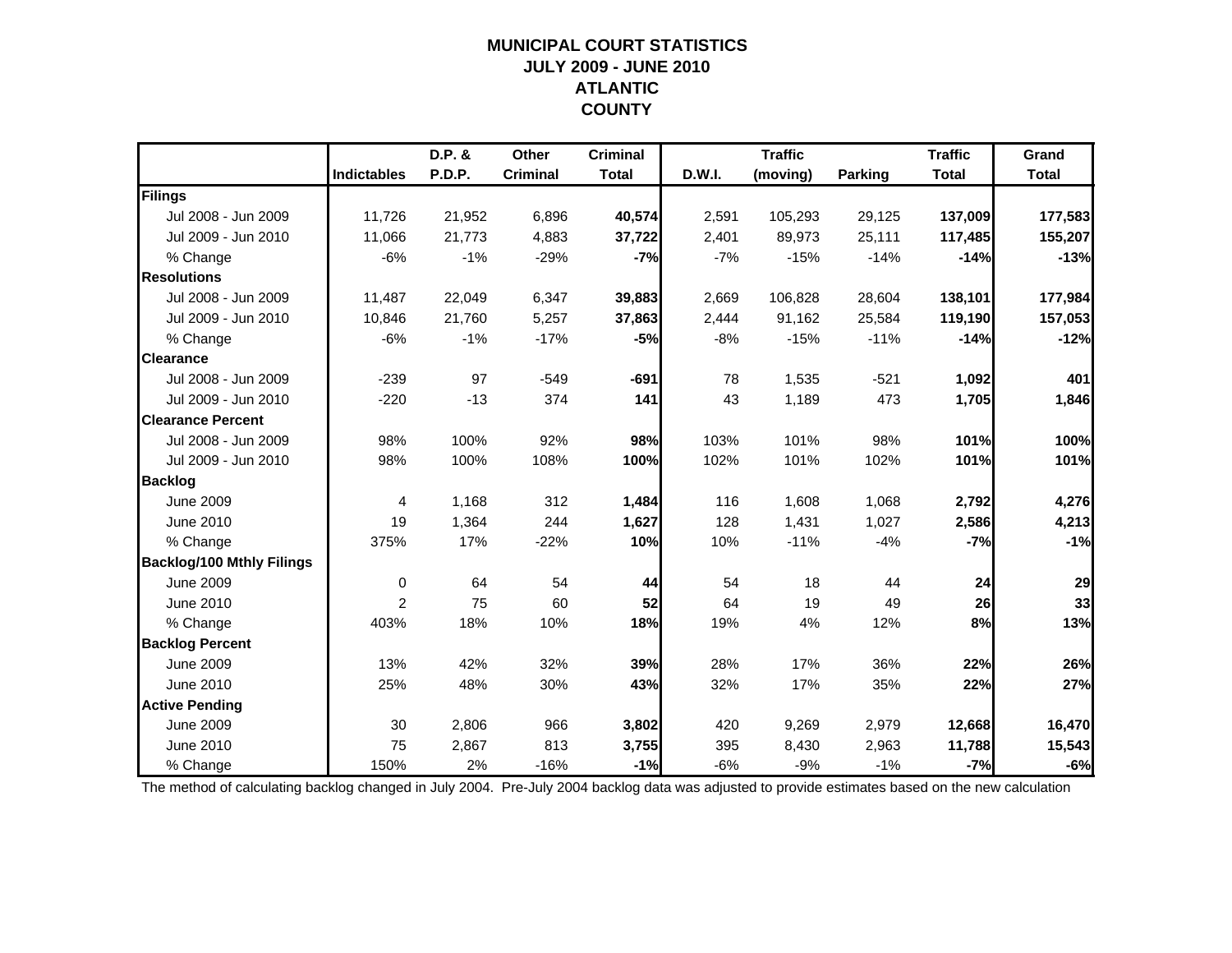### **MUNICIPAL COURT STATISTICSJULY 2009 - JUNE 2010 ATLANTIC COUNTY**

|                                  |                    | D.P. & | Other           | <b>Criminal</b> |        | <b>Traffic</b> |                | <b>Traffic</b> | Grand        |
|----------------------------------|--------------------|--------|-----------------|-----------------|--------|----------------|----------------|----------------|--------------|
|                                  | <b>Indictables</b> | P.D.P. | <b>Criminal</b> | <b>Total</b>    | D.W.I. | (moving)       | <b>Parking</b> | <b>Total</b>   | <b>Total</b> |
| Filings                          |                    |        |                 |                 |        |                |                |                |              |
| Jul 2008 - Jun 2009              | 11,726             | 21,952 | 6,896           | 40,574          | 2,591  | 105,293        | 29,125         | 137,009        | 177,583      |
| Jul 2009 - Jun 2010              | 11,066             | 21,773 | 4,883           | 37,722          | 2,401  | 89,973         | 25,111         | 117,485        | 155,207      |
| % Change                         | $-6%$              | $-1%$  | $-29%$          | $-7%$           | $-7%$  | $-15%$         | $-14%$         | $-14%$         | $-13%$       |
| <b>Resolutions</b>               |                    |        |                 |                 |        |                |                |                |              |
| Jul 2008 - Jun 2009              | 11,487             | 22,049 | 6,347           | 39,883          | 2,669  | 106,828        | 28,604         | 138,101        | 177,984      |
| Jul 2009 - Jun 2010              | 10,846             | 21,760 | 5,257           | 37,863          | 2,444  | 91,162         | 25,584         | 119,190        | 157,053      |
| % Change                         | $-6%$              | $-1%$  | $-17%$          | $-5%$           | $-8%$  | $-15%$         | $-11%$         | $-14%$         | $-12%$       |
| <b>Clearance</b>                 |                    |        |                 |                 |        |                |                |                |              |
| Jul 2008 - Jun 2009              | $-239$             | 97     | $-549$          | $-691$          | 78     | 1,535          | $-521$         | 1,092          | 401          |
| Jul 2009 - Jun 2010              | $-220$             | $-13$  | 374             | 141             | 43     | 1,189          | 473            | 1,705          | 1,846        |
| <b>Clearance Percent</b>         |                    |        |                 |                 |        |                |                |                |              |
| Jul 2008 - Jun 2009              | 98%                | 100%   | 92%             | 98%             | 103%   | 101%           | 98%            | 101%           | 100%         |
| Jul 2009 - Jun 2010              | 98%                | 100%   | 108%            | 100%            | 102%   | 101%           | 102%           | 101%           | 101%         |
| <b>Backlog</b>                   |                    |        |                 |                 |        |                |                |                |              |
| <b>June 2009</b>                 | $\overline{4}$     | 1,168  | 312             | 1,484           | 116    | 1,608          | 1,068          | 2,792          | 4,276        |
| June 2010                        | 19                 | 1,364  | 244             | 1,627           | 128    | 1,431          | 1,027          | 2,586          | 4,213        |
| % Change                         | 375%               | 17%    | $-22%$          | 10%             | 10%    | $-11%$         | $-4%$          | $-7%$          | $-1%$        |
| <b>Backlog/100 Mthly Filings</b> |                    |        |                 |                 |        |                |                |                |              |
| <b>June 2009</b>                 | $\mathbf 0$        | 64     | 54              | 44              | 54     | 18             | 44             | 24             | 29           |
| June 2010                        | $\overline{2}$     | 75     | 60              | 52              | 64     | 19             | 49             | 26             | 33           |
| % Change                         | 403%               | 18%    | 10%             | 18%             | 19%    | 4%             | 12%            | 8%             | 13%          |
| <b>Backlog Percent</b>           |                    |        |                 |                 |        |                |                |                |              |
| June 2009                        | 13%                | 42%    | 32%             | 39%             | 28%    | 17%            | 36%            | 22%            | 26%          |
| June 2010                        | 25%                | 48%    | 30%             | 43%             | 32%    | 17%            | 35%            | 22%            | 27%          |
| <b>Active Pending</b>            |                    |        |                 |                 |        |                |                |                |              |
| <b>June 2009</b>                 | 30                 | 2,806  | 966             | 3,802           | 420    | 9,269          | 2,979          | 12,668         | 16,470       |
| June 2010                        | 75                 | 2,867  | 813             | 3,755           | 395    | 8,430          | 2,963          | 11,788         | 15,543       |
| % Change                         | 150%               | 2%     | $-16%$          | $-1%$           | $-6%$  | $-9%$          | $-1%$          | $-7%$          | $-6%$        |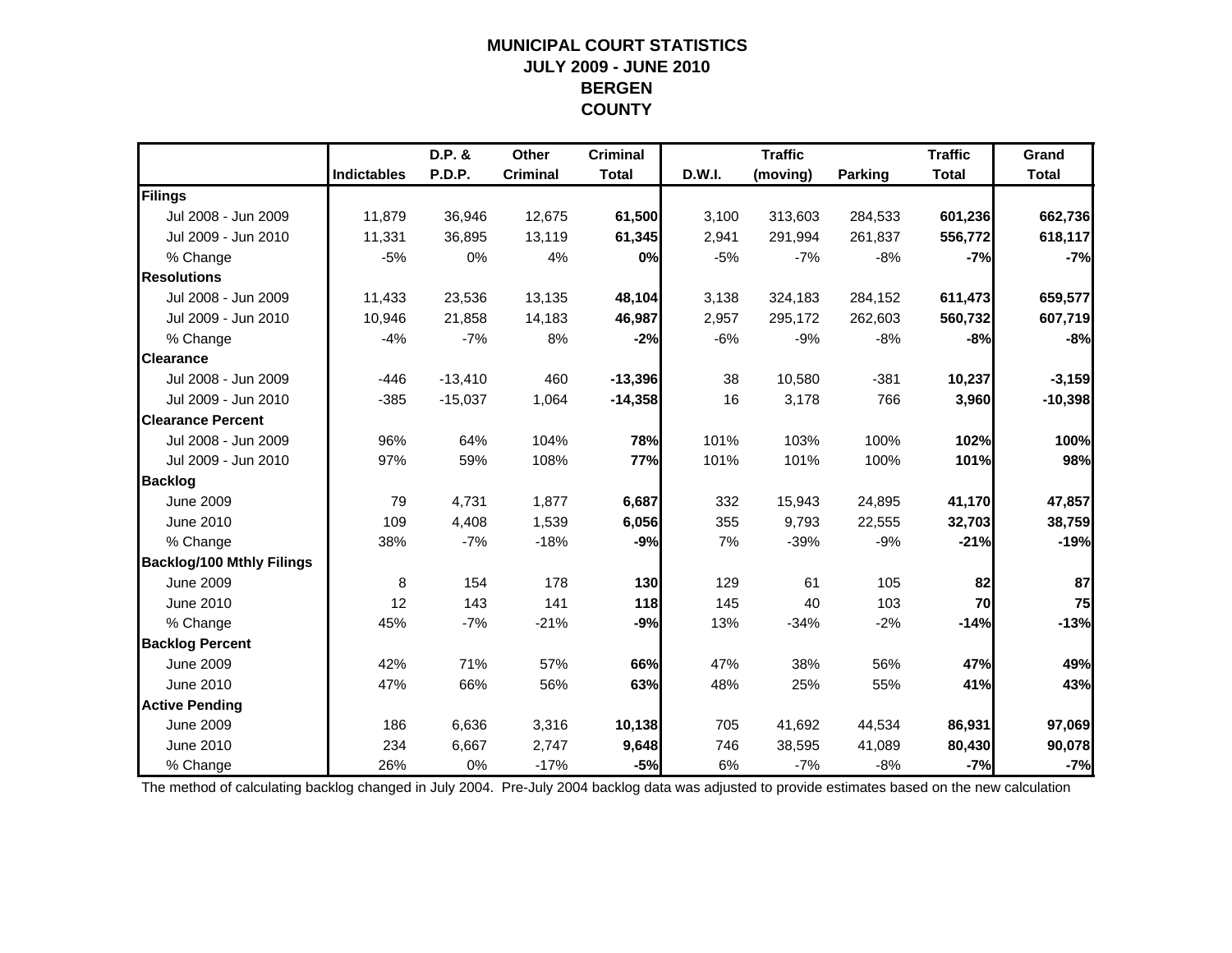### **MUNICIPAL COURT STATISTICSJULY 2009 - JUNE 2010 BERGEN COUNTY**

|                                  |                    | D.P. &    | Other           | <b>Criminal</b> |        | <b>Traffic</b> |                | <b>Traffic</b> | Grand        |
|----------------------------------|--------------------|-----------|-----------------|-----------------|--------|----------------|----------------|----------------|--------------|
|                                  | <b>Indictables</b> | P.D.P.    | <b>Criminal</b> | <b>Total</b>    | D.W.I. | (moving)       | <b>Parking</b> | <b>Total</b>   | <b>Total</b> |
| Filings                          |                    |           |                 |                 |        |                |                |                |              |
| Jul 2008 - Jun 2009              | 11,879             | 36,946    | 12,675          | 61,500          | 3,100  | 313,603        | 284,533        | 601,236        | 662,736      |
| Jul 2009 - Jun 2010              | 11,331             | 36,895    | 13,119          | 61,345          | 2,941  | 291,994        | 261,837        | 556,772        | 618,117      |
| % Change                         | $-5%$              | 0%        | 4%              | 0%              | $-5%$  | $-7%$          | $-8%$          | $-7%$          | $-7%$        |
| <b>Resolutions</b>               |                    |           |                 |                 |        |                |                |                |              |
| Jul 2008 - Jun 2009              | 11.433             | 23,536    | 13,135          | 48,104          | 3,138  | 324,183        | 284,152        | 611,473        | 659,577      |
| Jul 2009 - Jun 2010              | 10,946             | 21,858    | 14,183          | 46,987          | 2,957  | 295,172        | 262,603        | 560,732        | 607,719      |
| % Change                         | $-4%$              | $-7%$     | 8%              | $-2%$           | $-6%$  | $-9%$          | $-8%$          | $-8%$          | $-8%$        |
| <b>Clearance</b>                 |                    |           |                 |                 |        |                |                |                |              |
| Jul 2008 - Jun 2009              | $-446$             | $-13,410$ | 460             | $-13,396$       | 38     | 10,580         | $-381$         | 10,237         | $-3,159$     |
| Jul 2009 - Jun 2010              | $-385$             | $-15,037$ | 1,064           | $-14,358$       | 16     | 3,178          | 766            | 3,960          | $-10,398$    |
| <b>Clearance Percent</b>         |                    |           |                 |                 |        |                |                |                |              |
| Jul 2008 - Jun 2009              | 96%                | 64%       | 104%            | 78%             | 101%   | 103%           | 100%           | 102%           | 100%         |
| Jul 2009 - Jun 2010              | 97%                | 59%       | 108%            | 77%             | 101%   | 101%           | 100%           | 101%           | 98%          |
| <b>Backlog</b>                   |                    |           |                 |                 |        |                |                |                |              |
| <b>June 2009</b>                 | 79                 | 4,731     | 1,877           | 6,687           | 332    | 15,943         | 24,895         | 41,170         | 47,857       |
| June 2010                        | 109                | 4,408     | 1,539           | 6,056           | 355    | 9,793          | 22,555         | 32,703         | 38,759       |
| % Change                         | 38%                | $-7%$     | $-18%$          | $-9%$           | 7%     | $-39%$         | $-9%$          | $-21%$         | $-19%$       |
| <b>Backlog/100 Mthly Filings</b> |                    |           |                 |                 |        |                |                |                |              |
| <b>June 2009</b>                 | 8                  | 154       | 178             | 130             | 129    | 61             | 105            | 82             | 87           |
| June 2010                        | 12                 | 143       | 141             | 118             | 145    | 40             | 103            | 70             | 75           |
| % Change                         | 45%                | $-7%$     | $-21%$          | $-9%$           | 13%    | $-34%$         | $-2%$          | $-14%$         | $-13%$       |
| <b>Backlog Percent</b>           |                    |           |                 |                 |        |                |                |                |              |
| <b>June 2009</b>                 | 42%                | 71%       | 57%             | 66%             | 47%    | 38%            | 56%            | 47%            | 49%          |
| June 2010                        | 47%                | 66%       | 56%             | 63%             | 48%    | 25%            | 55%            | 41%            | 43%          |
| <b>Active Pending</b>            |                    |           |                 |                 |        |                |                |                |              |
| <b>June 2009</b>                 | 186                | 6.636     | 3,316           | 10,138          | 705    | 41,692         | 44,534         | 86,931         | 97,069       |
| June 2010                        | 234                | 6,667     | 2,747           | 9,648           | 746    | 38,595         | 41,089         | 80,430         | 90,078       |
| % Change                         | 26%                | 0%        | $-17%$          | $-5%$           | 6%     | $-7%$          | $-8%$          | $-7%$          | $-7%$        |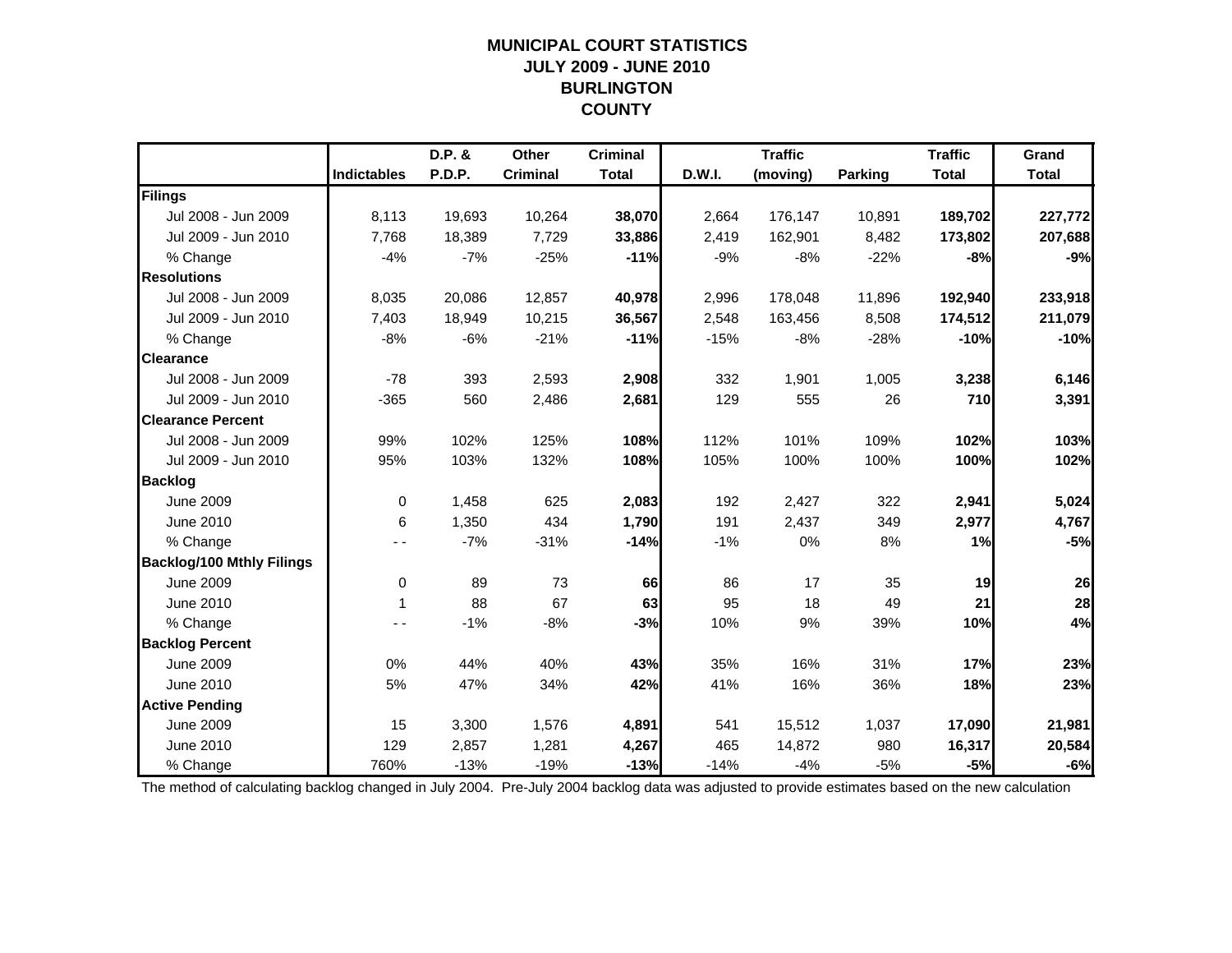### **MUNICIPAL COURT STATISTICSJULY 2009 - JUNE 2010 BURLINGTON COUNTY**

|                                  |                    | D.P. &        | Other           | <b>Criminal</b> |        | <b>Traffic</b> |                | <b>Traffic</b> | Grand        |
|----------------------------------|--------------------|---------------|-----------------|-----------------|--------|----------------|----------------|----------------|--------------|
|                                  | <b>Indictables</b> | <b>P.D.P.</b> | <b>Criminal</b> | <b>Total</b>    | D.W.I. | (moving)       | <b>Parking</b> | <b>Total</b>   | <b>Total</b> |
| Filings                          |                    |               |                 |                 |        |                |                |                |              |
| Jul 2008 - Jun 2009              | 8,113              | 19,693        | 10,264          | 38,070          | 2,664  | 176,147        | 10,891         | 189,702        | 227,772      |
| Jul 2009 - Jun 2010              | 7,768              | 18,389        | 7,729           | 33,886          | 2,419  | 162,901        | 8,482          | 173,802        | 207,688      |
| % Change                         | $-4%$              | $-7%$         | $-25%$          | $-11%$          | $-9%$  | $-8%$          | $-22%$         | $-8%$          | $-9%$        |
| <b>Resolutions</b>               |                    |               |                 |                 |        |                |                |                |              |
| Jul 2008 - Jun 2009              | 8,035              | 20,086        | 12,857          | 40,978          | 2,996  | 178,048        | 11,896         | 192,940        | 233,918      |
| Jul 2009 - Jun 2010              | 7,403              | 18,949        | 10,215          | 36,567          | 2,548  | 163,456        | 8,508          | 174,512        | 211,079      |
| % Change                         | $-8%$              | $-6%$         | $-21%$          | $-11%$          | $-15%$ | $-8%$          | $-28%$         | $-10%$         | $-10%$       |
| <b>Clearance</b>                 |                    |               |                 |                 |        |                |                |                |              |
| Jul 2008 - Jun 2009              | $-78$              | 393           | 2,593           | 2,908           | 332    | 1,901          | 1,005          | 3,238          | 6,146        |
| Jul 2009 - Jun 2010              | $-365$             | 560           | 2,486           | 2,681           | 129    | 555            | 26             | 710            | 3,391        |
| <b>Clearance Percent</b>         |                    |               |                 |                 |        |                |                |                |              |
| Jul 2008 - Jun 2009              | 99%                | 102%          | 125%            | 108%            | 112%   | 101%           | 109%           | 102%           | 103%         |
| Jul 2009 - Jun 2010              | 95%                | 103%          | 132%            | 108%            | 105%   | 100%           | 100%           | 100%           | 102%         |
| <b>Backlog</b>                   |                    |               |                 |                 |        |                |                |                |              |
| <b>June 2009</b>                 | 0                  | 1,458         | 625             | 2,083           | 192    | 2,427          | 322            | 2,941          | 5,024        |
| June 2010                        | 6                  | 1,350         | 434             | 1,790           | 191    | 2,437          | 349            | 2,977          | 4,767        |
| % Change                         |                    | $-7%$         | $-31%$          | $-14%$          | $-1%$  | 0%             | 8%             | 1%             | $-5%$        |
| <b>Backlog/100 Mthly Filings</b> |                    |               |                 |                 |        |                |                |                |              |
| <b>June 2009</b>                 | 0                  | 89            | 73              | 66              | 86     | 17             | 35             | 19             | 26           |
| June 2010                        | 1                  | 88            | 67              | 63              | 95     | 18             | 49             | 21             | 28           |
| % Change                         |                    | $-1%$         | $-8%$           | $-3%$           | 10%    | 9%             | 39%            | 10%            | 4%           |
| <b>Backlog Percent</b>           |                    |               |                 |                 |        |                |                |                |              |
| <b>June 2009</b>                 | 0%                 | 44%           | 40%             | 43%             | 35%    | 16%            | 31%            | 17%            | 23%          |
| June 2010                        | 5%                 | 47%           | 34%             | 42%             | 41%    | 16%            | 36%            | 18%            | 23%          |
| <b>Active Pending</b>            |                    |               |                 |                 |        |                |                |                |              |
| <b>June 2009</b>                 | 15                 | 3,300         | 1,576           | 4,891           | 541    | 15,512         | 1,037          | 17,090         | 21,981       |
| June 2010                        | 129                | 2,857         | 1,281           | 4,267           | 465    | 14,872         | 980            | 16,317         | 20,584       |
| % Change                         | 760%               | $-13%$        | $-19%$          | $-13%$          | $-14%$ | $-4%$          | $-5%$          | $-5%$          | $-6%$        |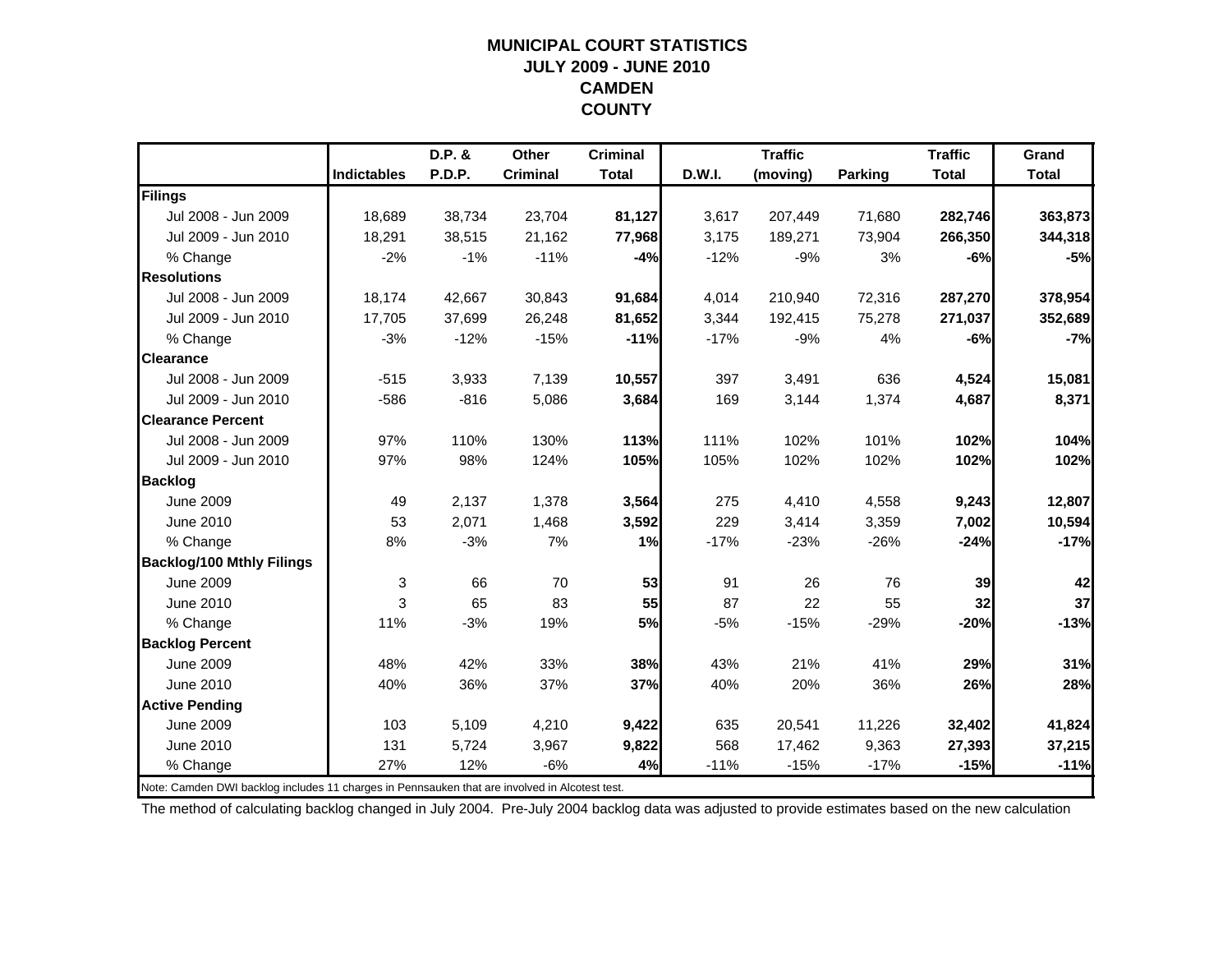#### **MUNICIPAL COURT STATISTICSJULY 2009 - JUNE 2010 CAMDEN COUNTY**

|                                                                                                |                    | D.P. & | Other           | <b>Criminal</b> |        | <b>Traffic</b> |         | <b>Traffic</b> | Grand        |
|------------------------------------------------------------------------------------------------|--------------------|--------|-----------------|-----------------|--------|----------------|---------|----------------|--------------|
|                                                                                                | <b>Indictables</b> | P.D.P. | <b>Criminal</b> | <b>Total</b>    | D.W.I. | (moving)       | Parking | <b>Total</b>   | <b>Total</b> |
| Filings                                                                                        |                    |        |                 |                 |        |                |         |                |              |
| Jul 2008 - Jun 2009                                                                            | 18.689             | 38,734 | 23,704          | 81,127          | 3,617  | 207,449        | 71,680  | 282,746        | 363,873      |
| Jul 2009 - Jun 2010                                                                            | 18,291             | 38,515 | 21,162          | 77,968          | 3,175  | 189,271        | 73,904  | 266,350        | 344,318      |
| % Change                                                                                       | $-2%$              | $-1%$  | $-11%$          | $-4%$           | $-12%$ | $-9%$          | 3%      | $-6%$          | $-5%$        |
| <b>Resolutions</b>                                                                             |                    |        |                 |                 |        |                |         |                |              |
| Jul 2008 - Jun 2009                                                                            | 18,174             | 42,667 | 30,843          | 91,684          | 4,014  | 210,940        | 72,316  | 287,270        | 378,954      |
| Jul 2009 - Jun 2010                                                                            | 17,705             | 37,699 | 26,248          | 81,652          | 3,344  | 192,415        | 75,278  | 271,037        | 352,689      |
| % Change                                                                                       | $-3%$              | $-12%$ | $-15%$          | $-11%$          | $-17%$ | $-9%$          | 4%      | $-6%$          | $-7%$        |
| <b>Clearance</b>                                                                               |                    |        |                 |                 |        |                |         |                |              |
| Jul 2008 - Jun 2009                                                                            | $-515$             | 3,933  | 7,139           | 10,557          | 397    | 3,491          | 636     | 4,524          | 15,081       |
| Jul 2009 - Jun 2010                                                                            | $-586$             | $-816$ | 5,086           | 3,684           | 169    | 3,144          | 1,374   | 4,687          | 8,371        |
| <b>Clearance Percent</b>                                                                       |                    |        |                 |                 |        |                |         |                |              |
| Jul 2008 - Jun 2009                                                                            | 97%                | 110%   | 130%            | 113%            | 111%   | 102%           | 101%    | 102%           | 104%         |
| Jul 2009 - Jun 2010                                                                            | 97%                | 98%    | 124%            | 105%            | 105%   | 102%           | 102%    | 102%           | 102%         |
| <b>Backlog</b>                                                                                 |                    |        |                 |                 |        |                |         |                |              |
| <b>June 2009</b>                                                                               | 49                 | 2,137  | 1,378           | 3,564           | 275    | 4,410          | 4,558   | 9,243          | 12,807       |
| June 2010                                                                                      | 53                 | 2,071  | 1,468           | 3,592           | 229    | 3,414          | 3,359   | 7,002          | 10,594       |
| % Change                                                                                       | 8%                 | $-3%$  | 7%              | 1%              | $-17%$ | $-23%$         | $-26%$  | $-24%$         | $-17%$       |
| <b>Backlog/100 Mthly Filings</b>                                                               |                    |        |                 |                 |        |                |         |                |              |
| <b>June 2009</b>                                                                               | 3                  | 66     | 70              | 53              | 91     | 26             | 76      | 39             | 42           |
| June 2010                                                                                      | 3                  | 65     | 83              | 55              | 87     | 22             | 55      | 32             | 37           |
| % Change                                                                                       | 11%                | $-3%$  | 19%             | 5%              | $-5%$  | $-15%$         | $-29%$  | $-20%$         | $-13%$       |
| <b>Backlog Percent</b>                                                                         |                    |        |                 |                 |        |                |         |                |              |
| <b>June 2009</b>                                                                               | 48%                | 42%    | 33%             | 38%             | 43%    | 21%            | 41%     | 29%            | 31%          |
| June 2010                                                                                      | 40%                | 36%    | 37%             | 37%             | 40%    | 20%            | 36%     | 26%            | 28%          |
| <b>Active Pending</b>                                                                          |                    |        |                 |                 |        |                |         |                |              |
| <b>June 2009</b>                                                                               | 103                | 5,109  | 4,210           | 9,422           | 635    | 20,541         | 11,226  | 32,402         | 41,824       |
| June 2010                                                                                      | 131                | 5,724  | 3,967           | 9,822           | 568    | 17,462         | 9,363   | 27,393         | 37,215       |
| % Change                                                                                       | 27%                | 12%    | $-6%$           | 4%              | $-11%$ | $-15%$         | $-17%$  | $-15%$         | $-11%$       |
| Note: Camden DWI backlog includes 11 charges in Pennsauken that are involved in Alcotest test. |                    |        |                 |                 |        |                |         |                |              |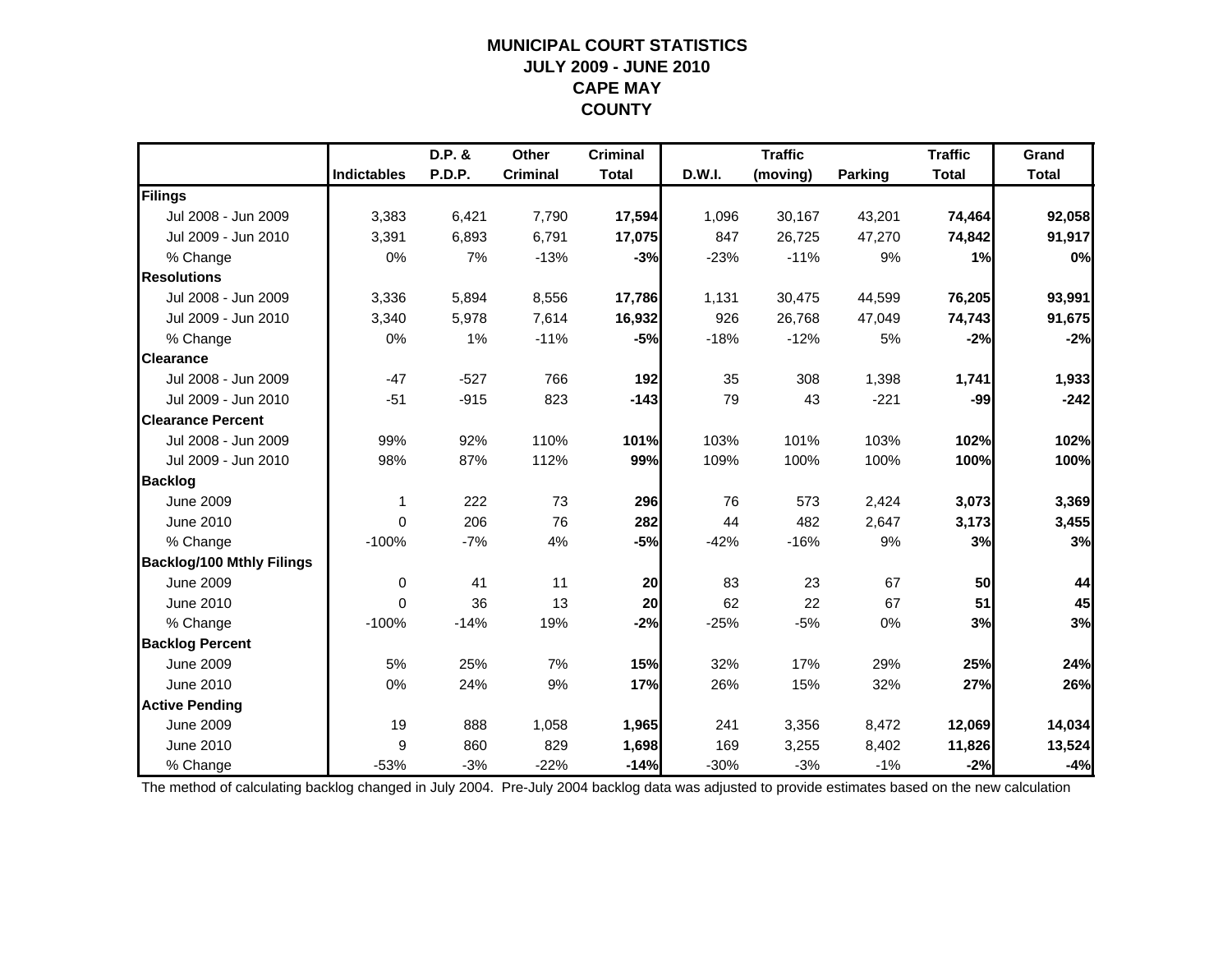### **MUNICIPAL COURT STATISTICSJULY 2009 - JUNE 2010 CAPE MAY COUNTY**

|                                  |                    | D.P. & | Other           | <b>Criminal</b> |        | <b>Traffic</b> |                | <b>Traffic</b> | Grand        |
|----------------------------------|--------------------|--------|-----------------|-----------------|--------|----------------|----------------|----------------|--------------|
|                                  | <b>Indictables</b> | P.D.P. | <b>Criminal</b> | <b>Total</b>    | D.W.I. | (moving)       | <b>Parking</b> | <b>Total</b>   | <b>Total</b> |
| Filings                          |                    |        |                 |                 |        |                |                |                |              |
| Jul 2008 - Jun 2009              | 3,383              | 6,421  | 7,790           | 17,594          | 1,096  | 30,167         | 43,201         | 74,464         | 92,058       |
| Jul 2009 - Jun 2010              | 3,391              | 6,893  | 6,791           | 17,075          | 847    | 26,725         | 47,270         | 74,842         | 91,917       |
| % Change                         | 0%                 | 7%     | $-13%$          | $-3%$           | $-23%$ | $-11%$         | 9%             | 1%             | 0%           |
| <b>Resolutions</b>               |                    |        |                 |                 |        |                |                |                |              |
| Jul 2008 - Jun 2009              | 3,336              | 5,894  | 8,556           | 17,786          | 1,131  | 30,475         | 44,599         | 76,205         | 93,991       |
| Jul 2009 - Jun 2010              | 3,340              | 5,978  | 7,614           | 16,932          | 926    | 26,768         | 47,049         | 74,743         | 91,675       |
| % Change                         | 0%                 | 1%     | $-11%$          | $-5%$           | $-18%$ | $-12%$         | 5%             | $-2%$          | $-2%$        |
| <b>Clearance</b>                 |                    |        |                 |                 |        |                |                |                |              |
| Jul 2008 - Jun 2009              | $-47$              | $-527$ | 766             | 192             | 35     | 308            | 1,398          | 1,741          | 1,933        |
| Jul 2009 - Jun 2010              | $-51$              | $-915$ | 823             | $-143$          | 79     | 43             | $-221$         | $-99$          | $-242$       |
| <b>Clearance Percent</b>         |                    |        |                 |                 |        |                |                |                |              |
| Jul 2008 - Jun 2009              | 99%                | 92%    | 110%            | 101%            | 103%   | 101%           | 103%           | 102%           | 102%         |
| Jul 2009 - Jun 2010              | 98%                | 87%    | 112%            | 99%             | 109%   | 100%           | 100%           | 100%           | 100%         |
| <b>Backlog</b>                   |                    |        |                 |                 |        |                |                |                |              |
| <b>June 2009</b>                 | $\mathbf 1$        | 222    | 73              | 296             | 76     | 573            | 2,424          | 3,073          | 3,369        |
| June 2010                        | $\Omega$           | 206    | 76              | 282             | 44     | 482            | 2,647          | 3,173          | 3,455        |
| % Change                         | $-100%$            | $-7%$  | 4%              | $-5%$           | $-42%$ | $-16%$         | 9%             | 3%             | 3%           |
| <b>Backlog/100 Mthly Filings</b> |                    |        |                 |                 |        |                |                |                |              |
| <b>June 2009</b>                 | 0                  | 41     | 11              | 20              | 83     | 23             | 67             | 50             | 44           |
| June 2010                        | $\Omega$           | 36     | 13              | 20              | 62     | 22             | 67             | 51             | 45           |
| % Change                         | $-100%$            | $-14%$ | 19%             | $-2%$           | $-25%$ | $-5%$          | 0%             | 3%             | 3%           |
| <b>Backlog Percent</b>           |                    |        |                 |                 |        |                |                |                |              |
| <b>June 2009</b>                 | 5%                 | 25%    | 7%              | 15%             | 32%    | 17%            | 29%            | 25%            | 24%          |
| June 2010                        | 0%                 | 24%    | 9%              | 17%             | 26%    | 15%            | 32%            | 27%            | 26%          |
| <b>Active Pending</b>            |                    |        |                 |                 |        |                |                |                |              |
| <b>June 2009</b>                 | 19                 | 888    | 1,058           | 1,965           | 241    | 3,356          | 8,472          | 12,069         | 14,034       |
| June 2010                        | 9                  | 860    | 829             | 1,698           | 169    | 3,255          | 8,402          | 11,826         | 13,524       |
| % Change                         | $-53%$             | $-3%$  | $-22%$          | $-14%$          | $-30%$ | $-3%$          | $-1%$          | $-2%$          | $-4%$        |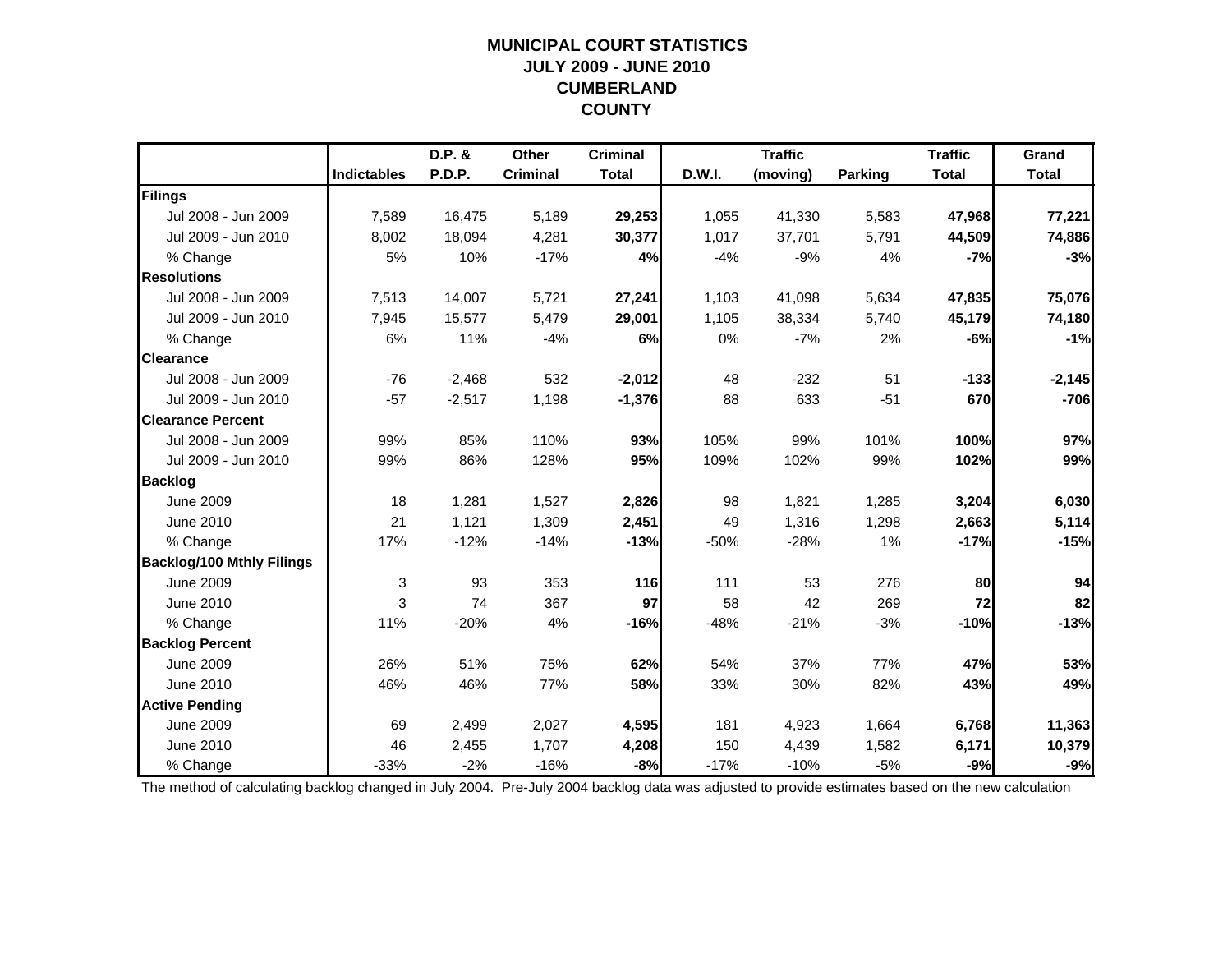### **MUNICIPAL COURT STATISTICSJULY 2009 - JUNE 2010 CUMBERLAND COUNTY**

|                                  |                    | D.P. &        | Other           | <b>Criminal</b> |        | <b>Traffic</b> |                | <b>Traffic</b> | Grand        |
|----------------------------------|--------------------|---------------|-----------------|-----------------|--------|----------------|----------------|----------------|--------------|
|                                  | <b>Indictables</b> | <b>P.D.P.</b> | <b>Criminal</b> | <b>Total</b>    | D.W.I. | (moving)       | <b>Parking</b> | <b>Total</b>   | <b>Total</b> |
| Filings                          |                    |               |                 |                 |        |                |                |                |              |
| Jul 2008 - Jun 2009              | 7,589              | 16,475        | 5,189           | 29,253          | 1,055  | 41,330         | 5,583          | 47,968         | 77,221       |
| Jul 2009 - Jun 2010              | 8,002              | 18,094        | 4,281           | 30,377          | 1,017  | 37,701         | 5,791          | 44,509         | 74,886       |
| % Change                         | 5%                 | 10%           | $-17%$          | 4%              | $-4%$  | $-9%$          | 4%             | $-7%$          | $-3%$        |
| <b>Resolutions</b>               |                    |               |                 |                 |        |                |                |                |              |
| Jul 2008 - Jun 2009              | 7,513              | 14,007        | 5,721           | 27,241          | 1,103  | 41,098         | 5,634          | 47,835         | 75,076       |
| Jul 2009 - Jun 2010              | 7,945              | 15,577        | 5,479           | 29,001          | 1,105  | 38,334         | 5,740          | 45,179         | 74,180       |
| % Change                         | 6%                 | 11%           | $-4%$           | 6%              | 0%     | $-7%$          | 2%             | $-6%$          | $-1%$        |
| <b>Clearance</b>                 |                    |               |                 |                 |        |                |                |                |              |
| Jul 2008 - Jun 2009              | $-76$              | $-2,468$      | 532             | $-2,012$        | 48     | $-232$         | 51             | $-133$         | $-2,145$     |
| Jul 2009 - Jun 2010              | $-57$              | $-2,517$      | 1,198           | $-1,376$        | 88     | 633            | $-51$          | 670            | $-706$       |
| <b>Clearance Percent</b>         |                    |               |                 |                 |        |                |                |                |              |
| Jul 2008 - Jun 2009              | 99%                | 85%           | 110%            | 93%             | 105%   | 99%            | 101%           | 100%           | 97%          |
| Jul 2009 - Jun 2010              | 99%                | 86%           | 128%            | 95%             | 109%   | 102%           | 99%            | 102%           | 99%          |
| <b>Backlog</b>                   |                    |               |                 |                 |        |                |                |                |              |
| <b>June 2009</b>                 | 18                 | 1,281         | 1,527           | 2,826           | 98     | 1,821          | 1,285          | 3,204          | 6,030        |
| <b>June 2010</b>                 | 21                 | 1,121         | 1,309           | 2,451           | 49     | 1,316          | 1,298          | 2,663          | 5,114        |
| % Change                         | 17%                | $-12%$        | $-14%$          | $-13%$          | $-50%$ | $-28%$         | 1%             | $-17%$         | $-15%$       |
| <b>Backlog/100 Mthly Filings</b> |                    |               |                 |                 |        |                |                |                |              |
| <b>June 2009</b>                 | 3                  | 93            | 353             | 116             | 111    | 53             | 276            | 80             | 94           |
| <b>June 2010</b>                 | 3                  | 74            | 367             | 97              | 58     | 42             | 269            | 72             | 82           |
| % Change                         | 11%                | $-20%$        | 4%              | $-16%$          | $-48%$ | $-21%$         | $-3%$          | $-10%$         | $-13%$       |
| <b>Backlog Percent</b>           |                    |               |                 |                 |        |                |                |                |              |
| <b>June 2009</b>                 | 26%                | 51%           | 75%             | 62%             | 54%    | 37%            | 77%            | 47%            | 53%          |
| June 2010                        | 46%                | 46%           | 77%             | 58%             | 33%    | 30%            | 82%            | 43%            | 49%          |
| <b>Active Pending</b>            |                    |               |                 |                 |        |                |                |                |              |
| <b>June 2009</b>                 | 69                 | 2,499         | 2,027           | 4,595           | 181    | 4,923          | 1,664          | 6,768          | 11,363       |
| June 2010                        | 46                 | 2,455         | 1,707           | 4,208           | 150    | 4,439          | 1,582          | 6,171          | 10,379       |
| % Change                         | $-33%$             | $-2%$         | $-16%$          | $-8%$           | $-17%$ | $-10%$         | $-5%$          | $-9%$          | $-9%$        |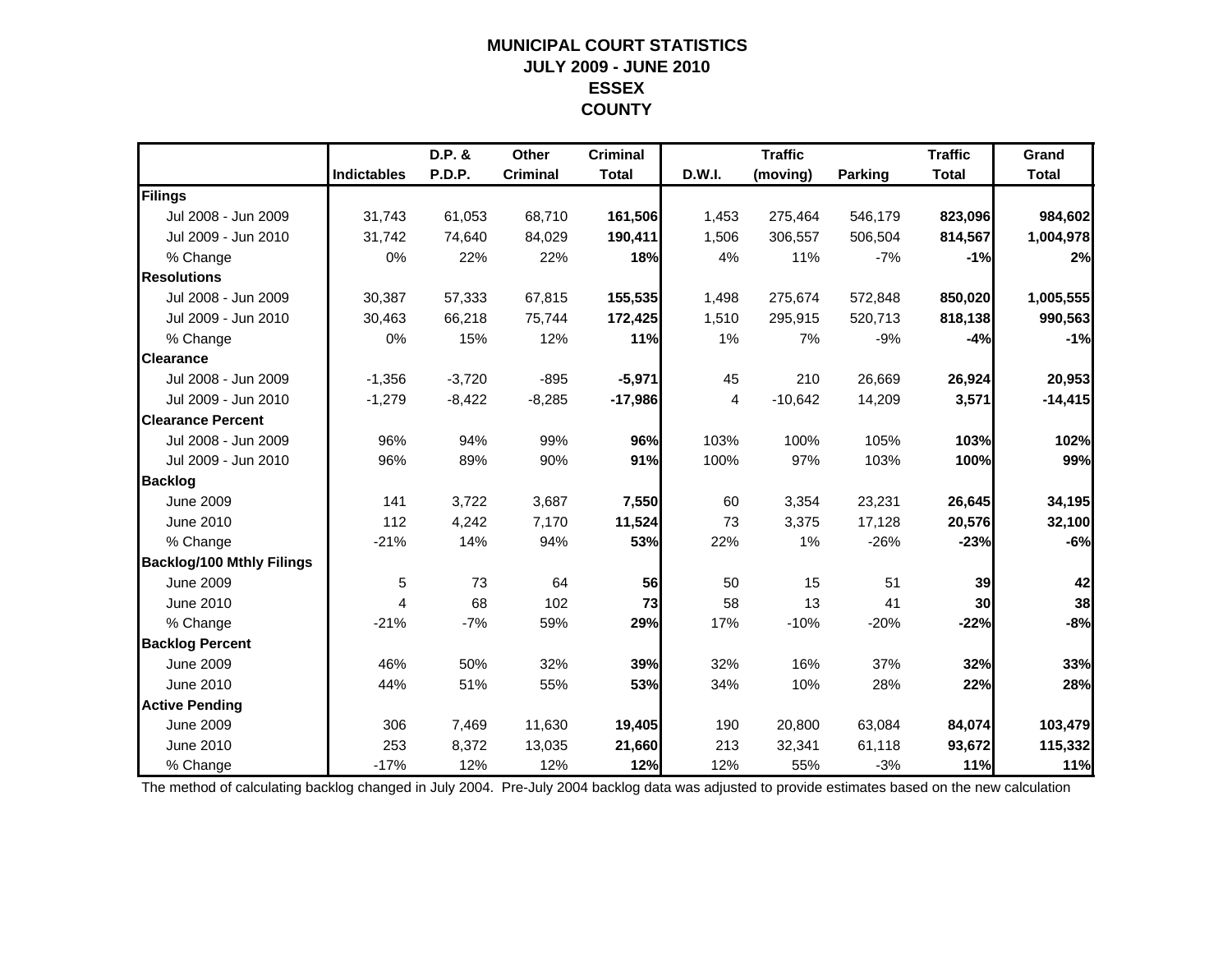### **MUNICIPAL COURT STATISTICSJULY 2009 - JUNE 2010 ESSEX COUNTY**

|                                  |                    | D.P. &   | Other           | <b>Criminal</b> |        | <b>Traffic</b> |                | <b>Traffic</b>  | Grand        |
|----------------------------------|--------------------|----------|-----------------|-----------------|--------|----------------|----------------|-----------------|--------------|
|                                  | <b>Indictables</b> | P.D.P.   | <b>Criminal</b> | <b>Total</b>    | D.W.I. | (moving)       | <b>Parking</b> | <b>Total</b>    | <b>Total</b> |
| Filings                          |                    |          |                 |                 |        |                |                |                 |              |
| Jul 2008 - Jun 2009              | 31,743             | 61,053   | 68,710          | 161,506         | 1,453  | 275,464        | 546,179        | 823,096         | 984,602      |
| Jul 2009 - Jun 2010              | 31,742             | 74,640   | 84,029          | 190,411         | 1,506  | 306,557        | 506,504        | 814,567         | 1,004,978    |
| % Change                         | 0%                 | 22%      | 22%             | 18%             | 4%     | 11%            | $-7%$          | $-1%$           | 2%           |
| <b>Resolutions</b>               |                    |          |                 |                 |        |                |                |                 |              |
| Jul 2008 - Jun 2009              | 30,387             | 57,333   | 67,815          | 155,535         | 1,498  | 275,674        | 572,848        | 850,020         | 1,005,555    |
| Jul 2009 - Jun 2010              | 30,463             | 66,218   | 75,744          | 172,425         | 1,510  | 295,915        | 520,713        | 818,138         | 990,563      |
| % Change                         | 0%                 | 15%      | 12%             | 11%             | 1%     | 7%             | $-9%$          | $-4%$           | $-1%$        |
| <b>Clearance</b>                 |                    |          |                 |                 |        |                |                |                 |              |
| Jul 2008 - Jun 2009              | $-1,356$           | $-3,720$ | $-895$          | $-5,971$        | 45     | 210            | 26,669         | 26,924          | 20,953       |
| Jul 2009 - Jun 2010              | $-1,279$           | $-8,422$ | $-8,285$        | $-17,986$       | 4      | $-10,642$      | 14,209         | 3,571           | $-14,415$    |
| <b>Clearance Percent</b>         |                    |          |                 |                 |        |                |                |                 |              |
| Jul 2008 - Jun 2009              | 96%                | 94%      | 99%             | 96%             | 103%   | 100%           | 105%           | 103%            | 102%         |
| Jul 2009 - Jun 2010              | 96%                | 89%      | 90%             | 91%             | 100%   | 97%            | 103%           | 100%            | 99%          |
| <b>Backlog</b>                   |                    |          |                 |                 |        |                |                |                 |              |
| <b>June 2009</b>                 | 141                | 3,722    | 3,687           | 7,550           | 60     | 3,354          | 23,231         | 26,645          | 34,195       |
| June 2010                        | 112                | 4,242    | 7,170           | 11,524          | 73     | 3,375          | 17,128         | 20,576          | 32,100       |
| % Change                         | $-21%$             | 14%      | 94%             | 53%             | 22%    | 1%             | $-26%$         | $-23%$          | $-6%$        |
| <b>Backlog/100 Mthly Filings</b> |                    |          |                 |                 |        |                |                |                 |              |
| <b>June 2009</b>                 | 5                  | 73       | 64              | 56              | 50     | 15             | 51             | 39              | 42           |
| June 2010                        | $\overline{4}$     | 68       | 102             | 73              | 58     | 13             | 41             | 30 <sup>1</sup> | 38           |
| % Change                         | $-21%$             | $-7%$    | 59%             | 29%             | 17%    | $-10%$         | $-20%$         | $-22%$          | $-8%$        |
| <b>Backlog Percent</b>           |                    |          |                 |                 |        |                |                |                 |              |
| <b>June 2009</b>                 | 46%                | 50%      | 32%             | 39%             | 32%    | 16%            | 37%            | 32%             | 33%          |
| June 2010                        | 44%                | 51%      | 55%             | 53%             | 34%    | 10%            | 28%            | 22%             | 28%          |
| <b>Active Pending</b>            |                    |          |                 |                 |        |                |                |                 |              |
| <b>June 2009</b>                 | 306                | 7,469    | 11,630          | 19,405          | 190    | 20,800         | 63,084         | 84,074          | 103,479      |
| <b>June 2010</b>                 | 253                | 8,372    | 13,035          | 21,660          | 213    | 32,341         | 61,118         | 93,672          | 115,332      |
| % Change                         | $-17%$             | 12%      | 12%             | 12%             | 12%    | 55%            | $-3%$          | 11%             | 11%          |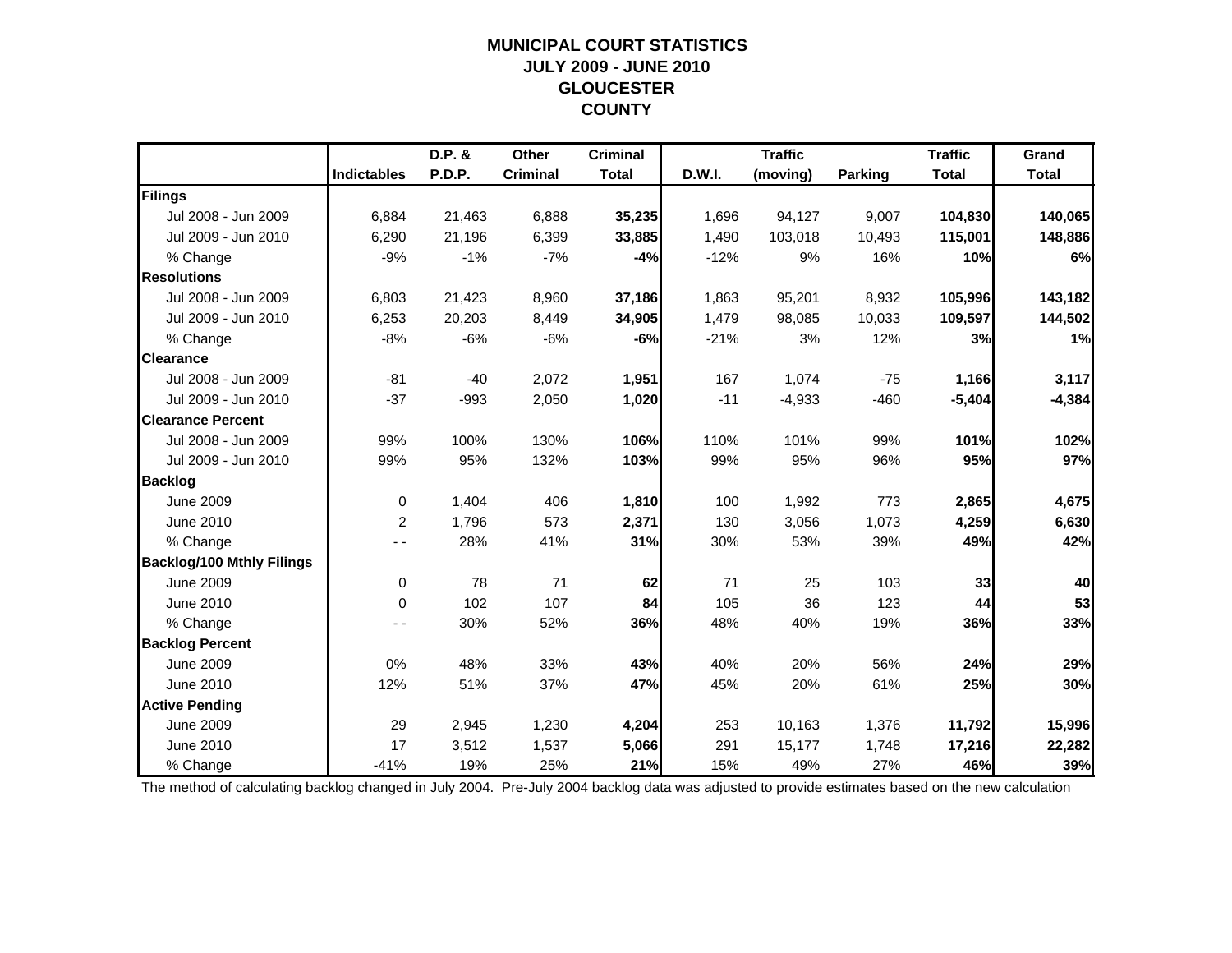### **MUNICIPAL COURT STATISTICSJULY 2009 - JUNE 2010 GLOUCESTER COUNTY**

|                                  |                    | D.P. & | Other           | <b>Criminal</b> |               | <b>Traffic</b> |                | <b>Traffic</b> | Grand        |
|----------------------------------|--------------------|--------|-----------------|-----------------|---------------|----------------|----------------|----------------|--------------|
|                                  | <b>Indictables</b> | P.D.P. | <b>Criminal</b> | <b>Total</b>    | <b>D.W.I.</b> | (moving)       | <b>Parking</b> | <b>Total</b>   | <b>Total</b> |
| Filings                          |                    |        |                 |                 |               |                |                |                |              |
| Jul 2008 - Jun 2009              | 6,884              | 21,463 | 6,888           | 35,235          | 1,696         | 94,127         | 9,007          | 104,830        | 140,065      |
| Jul 2009 - Jun 2010              | 6,290              | 21,196 | 6,399           | 33,885          | 1,490         | 103,018        | 10,493         | 115,001        | 148,886      |
| % Change                         | $-9%$              | $-1%$  | $-7%$           | $-4%$           | $-12%$        | 9%             | 16%            | 10%            | 6%           |
| <b>Resolutions</b>               |                    |        |                 |                 |               |                |                |                |              |
| Jul 2008 - Jun 2009              | 6,803              | 21,423 | 8,960           | 37,186          | 1,863         | 95,201         | 8,932          | 105,996        | 143,182      |
| Jul 2009 - Jun 2010              | 6,253              | 20,203 | 8,449           | 34,905          | 1,479         | 98,085         | 10,033         | 109,597        | 144,502      |
| % Change                         | $-8%$              | $-6%$  | $-6%$           | $-6%$           | $-21%$        | 3%             | 12%            | 3%             | 1%           |
| <b>Clearance</b>                 |                    |        |                 |                 |               |                |                |                |              |
| Jul 2008 - Jun 2009              | $-81$              | $-40$  | 2,072           | 1,951           | 167           | 1,074          | $-75$          | 1,166          | 3,117        |
| Jul 2009 - Jun 2010              | $-37$              | $-993$ | 2,050           | 1,020           | $-11$         | $-4,933$       | $-460$         | $-5,404$       | $-4,384$     |
| <b>Clearance Percent</b>         |                    |        |                 |                 |               |                |                |                |              |
| Jul 2008 - Jun 2009              | 99%                | 100%   | 130%            | 106%            | 110%          | 101%           | 99%            | 101%           | 102%         |
| Jul 2009 - Jun 2010              | 99%                | 95%    | 132%            | 103%            | 99%           | 95%            | 96%            | 95%            | 97%          |
| <b>Backlog</b>                   |                    |        |                 |                 |               |                |                |                |              |
| <b>June 2009</b>                 | 0                  | 1,404  | 406             | 1,810           | 100           | 1,992          | 773            | 2,865          | 4,675        |
| June 2010                        | 2                  | 1,796  | 573             | 2,371           | 130           | 3,056          | 1,073          | 4,259          | 6,630        |
| % Change                         |                    | 28%    | 41%             | 31%             | 30%           | 53%            | 39%            | 49%            | 42%          |
| <b>Backlog/100 Mthly Filings</b> |                    |        |                 |                 |               |                |                |                |              |
| <b>June 2009</b>                 | $\pmb{0}$          | 78     | 71              | 62              | 71            | 25             | 103            | 33             | 40           |
| June 2010                        | $\Omega$           | 102    | 107             | 84              | 105           | 36             | 123            | 44             | 53           |
| % Change                         |                    | 30%    | 52%             | 36%             | 48%           | 40%            | 19%            | 36%            | 33%          |
| <b>Backlog Percent</b>           |                    |        |                 |                 |               |                |                |                |              |
| <b>June 2009</b>                 | 0%                 | 48%    | 33%             | 43%             | 40%           | 20%            | 56%            | 24%            | 29%          |
| June 2010                        | 12%                | 51%    | 37%             | 47%             | 45%           | 20%            | 61%            | 25%            | 30%          |
| <b>Active Pending</b>            |                    |        |                 |                 |               |                |                |                |              |
| <b>June 2009</b>                 | 29                 | 2,945  | 1,230           | 4,204           | 253           | 10,163         | 1,376          | 11,792         | 15,996       |
| June 2010                        | 17                 | 3,512  | 1,537           | 5,066           | 291           | 15,177         | 1,748          | 17,216         | 22,282       |
| % Change                         | $-41%$             | 19%    | 25%             | 21%             | 15%           | 49%            | 27%            | 46%            | 39%          |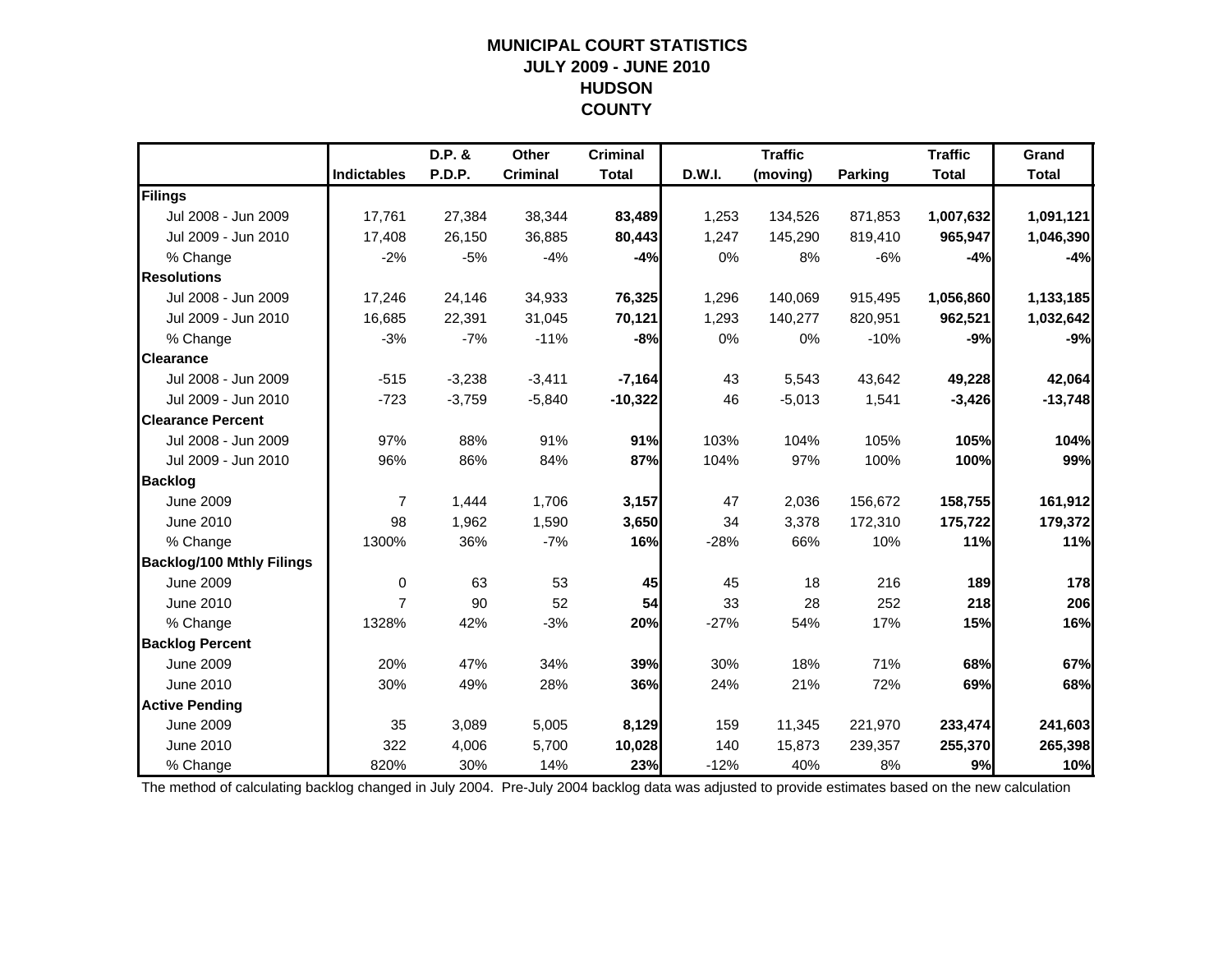### **MUNICIPAL COURT STATISTICSJULY 2009 - JUNE 2010 HUDSON COUNTY**

|                                  |                    | D.P. &   | Other           | <b>Criminal</b> |        | <b>Traffic</b> |                | <b>Traffic</b> | Grand        |
|----------------------------------|--------------------|----------|-----------------|-----------------|--------|----------------|----------------|----------------|--------------|
|                                  | <b>Indictables</b> | P.D.P.   | <b>Criminal</b> | <b>Total</b>    | D.W.I. | (moving)       | <b>Parking</b> | <b>Total</b>   | <b>Total</b> |
| Filings                          |                    |          |                 |                 |        |                |                |                |              |
| Jul 2008 - Jun 2009              | 17,761             | 27,384   | 38,344          | 83,489          | 1,253  | 134,526        | 871,853        | 1,007,632      | 1,091,121    |
| Jul 2009 - Jun 2010              | 17,408             | 26,150   | 36,885          | 80,443          | 1,247  | 145,290        | 819,410        | 965,947        | 1,046,390    |
| % Change                         | $-2%$              | $-5%$    | $-4%$           | $-4%$           | 0%     | 8%             | $-6%$          | $-4%$          | $-4%$        |
| <b>Resolutions</b>               |                    |          |                 |                 |        |                |                |                |              |
| Jul 2008 - Jun 2009              | 17,246             | 24,146   | 34,933          | 76,325          | 1,296  | 140,069        | 915,495        | 1,056,860      | 1,133,185    |
| Jul 2009 - Jun 2010              | 16,685             | 22,391   | 31,045          | 70,121          | 1,293  | 140,277        | 820,951        | 962,521        | 1,032,642    |
| % Change                         | $-3%$              | $-7%$    | $-11%$          | $-8%$           | 0%     | 0%             | $-10%$         | $-9%$          | $-9%$        |
| <b>Clearance</b>                 |                    |          |                 |                 |        |                |                |                |              |
| Jul 2008 - Jun 2009              | $-515$             | $-3,238$ | $-3,411$        | $-7,164$        | 43     | 5,543          | 43,642         | 49,228         | 42,064       |
| Jul 2009 - Jun 2010              | $-723$             | $-3,759$ | $-5,840$        | $-10,322$       | 46     | $-5,013$       | 1,541          | $-3,426$       | $-13,748$    |
| <b>Clearance Percent</b>         |                    |          |                 |                 |        |                |                |                |              |
| Jul 2008 - Jun 2009              | 97%                | 88%      | 91%             | 91%             | 103%   | 104%           | 105%           | 105%           | 104%         |
| Jul 2009 - Jun 2010              | 96%                | 86%      | 84%             | 87%             | 104%   | 97%            | 100%           | 100%           | 99%          |
| <b>Backlog</b>                   |                    |          |                 |                 |        |                |                |                |              |
| <b>June 2009</b>                 | $\overline{7}$     | 1,444    | 1,706           | 3,157           | 47     | 2,036          | 156,672        | 158,755        | 161,912      |
| <b>June 2010</b>                 | 98                 | 1,962    | 1.590           | 3,650           | 34     | 3,378          | 172,310        | 175,722        | 179,372      |
| % Change                         | 1300%              | 36%      | $-7%$           | 16%             | $-28%$ | 66%            | 10%            | 11%            | 11%          |
| <b>Backlog/100 Mthly Filings</b> |                    |          |                 |                 |        |                |                |                |              |
| <b>June 2009</b>                 | $\Omega$           | 63       | 53              | 45              | 45     | 18             | 216            | 189            | 178          |
| <b>June 2010</b>                 | $\overline{7}$     | 90       | 52              | 54              | 33     | 28             | 252            | 218            | 206          |
| % Change                         | 1328%              | 42%      | $-3%$           | 20%             | $-27%$ | 54%            | 17%            | 15%            | 16%          |
| <b>Backlog Percent</b>           |                    |          |                 |                 |        |                |                |                |              |
| <b>June 2009</b>                 | 20%                | 47%      | 34%             | 39%             | 30%    | 18%            | 71%            | 68%            | 67%          |
| June 2010                        | 30%                | 49%      | 28%             | 36%             | 24%    | 21%            | 72%            | 69%            | 68%          |
| <b>Active Pending</b>            |                    |          |                 |                 |        |                |                |                |              |
| <b>June 2009</b>                 | 35                 | 3,089    | 5,005           | 8,129           | 159    | 11,345         | 221,970        | 233,474        | 241,603      |
| <b>June 2010</b>                 | 322                | 4,006    | 5,700           | 10,028          | 140    | 15,873         | 239,357        | 255,370        | 265,398      |
| % Change                         | 820%               | 30%      | 14%             | 23%             | $-12%$ | 40%            | 8%             | 9%             | 10%          |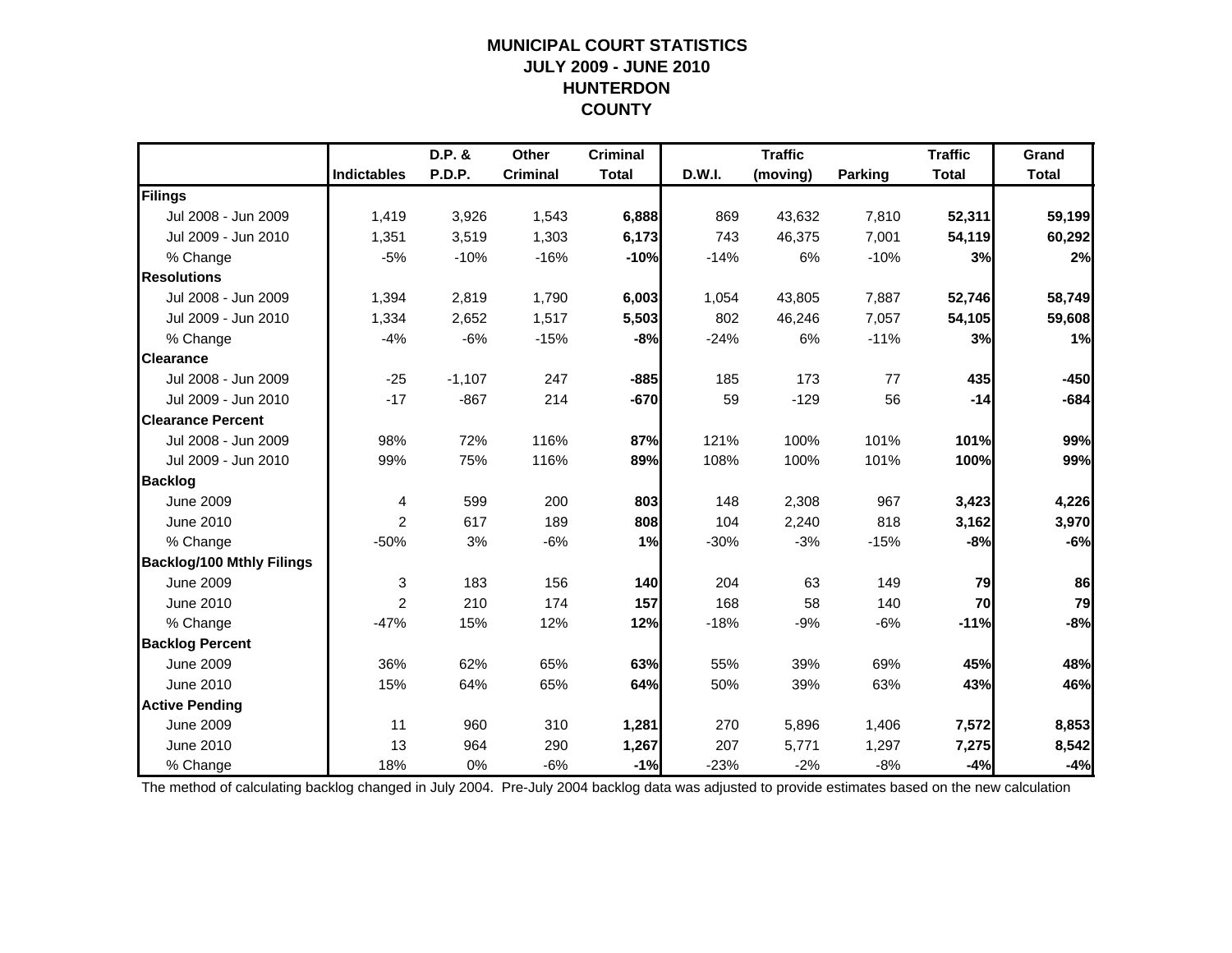### **MUNICIPAL COURT STATISTICSJULY 2009 - JUNE 2010 HUNTERDON COUNTY**

|                                  |                    | D.P. &        | Other           | <b>Criminal</b> |        | <b>Traffic</b> |                | <b>Traffic</b> | Grand        |
|----------------------------------|--------------------|---------------|-----------------|-----------------|--------|----------------|----------------|----------------|--------------|
|                                  | <b>Indictables</b> | <b>P.D.P.</b> | <b>Criminal</b> | <b>Total</b>    | D.W.I. | (moving)       | <b>Parking</b> | <b>Total</b>   | <b>Total</b> |
| Filings                          |                    |               |                 |                 |        |                |                |                |              |
| Jul 2008 - Jun 2009              | 1,419              | 3,926         | 1,543           | 6,888           | 869    | 43,632         | 7,810          | 52,311         | 59,199       |
| Jul 2009 - Jun 2010              | 1,351              | 3,519         | 1,303           | 6,173           | 743    | 46,375         | 7,001          | 54,119         | 60,292       |
| % Change                         | $-5%$              | $-10%$        | $-16%$          | $-10%$          | $-14%$ | 6%             | $-10%$         | 3%             | 2%           |
| <b>Resolutions</b>               |                    |               |                 |                 |        |                |                |                |              |
| Jul 2008 - Jun 2009              | 1,394              | 2,819         | 1,790           | 6,003           | 1,054  | 43,805         | 7,887          | 52,746         | 58,749       |
| Jul 2009 - Jun 2010              | 1,334              | 2,652         | 1,517           | 5,503           | 802    | 46,246         | 7,057          | 54,105         | 59,608       |
| % Change                         | $-4%$              | $-6%$         | $-15%$          | $-8%$           | $-24%$ | 6%             | $-11%$         | 3%             | 1%           |
| <b>Clearance</b>                 |                    |               |                 |                 |        |                |                |                |              |
| Jul 2008 - Jun 2009              | $-25$              | $-1,107$      | 247             | $-885$          | 185    | 173            | 77             | 435            | $-450$       |
| Jul 2009 - Jun 2010              | $-17$              | $-867$        | 214             | $-670$          | 59     | $-129$         | 56             | $-14$          | $-684$       |
| <b>Clearance Percent</b>         |                    |               |                 |                 |        |                |                |                |              |
| Jul 2008 - Jun 2009              | 98%                | 72%           | 116%            | 87%             | 121%   | 100%           | 101%           | 101%           | 99%          |
| Jul 2009 - Jun 2010              | 99%                | 75%           | 116%            | 89%             | 108%   | 100%           | 101%           | 100%           | 99%          |
| <b>Backlog</b>                   |                    |               |                 |                 |        |                |                |                |              |
| <b>June 2009</b>                 | 4                  | 599           | 200             | 803             | 148    | 2,308          | 967            | 3,423          | 4,226        |
| June 2010                        | 2                  | 617           | 189             | 808             | 104    | 2,240          | 818            | 3,162          | 3,970        |
| % Change                         | $-50%$             | 3%            | $-6%$           | 1%              | $-30%$ | $-3%$          | $-15%$         | $-8%$          | $-6%$        |
| <b>Backlog/100 Mthly Filings</b> |                    |               |                 |                 |        |                |                |                |              |
| <b>June 2009</b>                 | $\mathbf{3}$       | 183           | 156             | 140             | 204    | 63             | 149            | 79             | 86           |
| June 2010                        | $\overline{2}$     | 210           | 174             | 157             | 168    | 58             | 140            | 70             | 79           |
| % Change                         | $-47%$             | 15%           | 12%             | 12%             | $-18%$ | $-9%$          | $-6%$          | $-11%$         | $-8%$        |
| <b>Backlog Percent</b>           |                    |               |                 |                 |        |                |                |                |              |
| <b>June 2009</b>                 | 36%                | 62%           | 65%             | 63%             | 55%    | 39%            | 69%            | 45%            | 48%          |
| June 2010                        | 15%                | 64%           | 65%             | 64%             | 50%    | 39%            | 63%            | 43%            | 46%          |
| <b>Active Pending</b>            |                    |               |                 |                 |        |                |                |                |              |
| <b>June 2009</b>                 | 11                 | 960           | 310             | 1,281           | 270    | 5,896          | 1,406          | 7,572          | 8,853        |
| June 2010                        | 13                 | 964           | 290             | 1,267           | 207    | 5,771          | 1,297          | 7,275          | 8,542        |
| % Change                         | 18%                | 0%            | $-6%$           | $-1%$           | $-23%$ | $-2%$          | $-8%$          | $-4%$          | $-4%$        |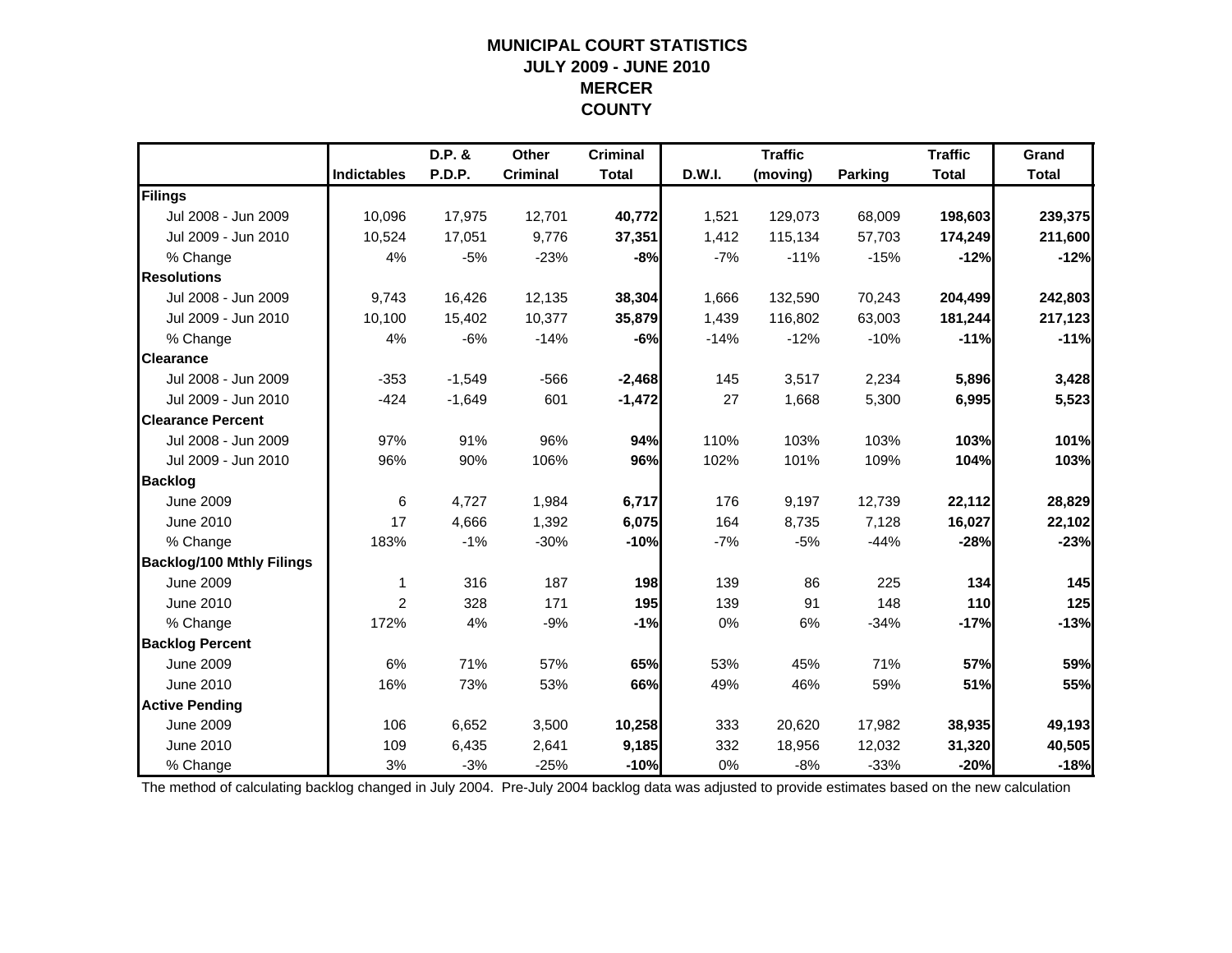### **MUNICIPAL COURT STATISTICSJULY 2009 - JUNE 2010 MERCER COUNTY**

|                                  |                    | D.P. &   | Other           | <b>Criminal</b> |        | <b>Traffic</b> |                | <b>Traffic</b> | Grand        |
|----------------------------------|--------------------|----------|-----------------|-----------------|--------|----------------|----------------|----------------|--------------|
|                                  | <b>Indictables</b> | P.D.P.   | <b>Criminal</b> | <b>Total</b>    | D.W.I. | (moving)       | <b>Parking</b> | <b>Total</b>   | <b>Total</b> |
| Filings                          |                    |          |                 |                 |        |                |                |                |              |
| Jul 2008 - Jun 2009              | 10,096             | 17,975   | 12,701          | 40,772          | 1,521  | 129,073        | 68,009         | 198,603        | 239,375      |
| Jul 2009 - Jun 2010              | 10,524             | 17,051   | 9,776           | 37,351          | 1,412  | 115,134        | 57,703         | 174,249        | 211,600      |
| % Change                         | 4%                 | $-5%$    | $-23%$          | $-8%$           | $-7%$  | $-11%$         | $-15%$         | $-12%$         | $-12%$       |
| <b>Resolutions</b>               |                    |          |                 |                 |        |                |                |                |              |
| Jul 2008 - Jun 2009              | 9,743              | 16,426   | 12,135          | 38,304          | 1,666  | 132,590        | 70,243         | 204,499        | 242,803      |
| Jul 2009 - Jun 2010              | 10.100             | 15,402   | 10,377          | 35,879          | 1,439  | 116,802        | 63,003         | 181,244        | 217,123      |
| % Change                         | 4%                 | $-6%$    | $-14%$          | $-6%$           | $-14%$ | $-12%$         | $-10%$         | $-11%$         | $-11%$       |
| <b>Clearance</b>                 |                    |          |                 |                 |        |                |                |                |              |
| Jul 2008 - Jun 2009              | $-353$             | $-1,549$ | $-566$          | $-2,468$        | 145    | 3,517          | 2,234          | 5,896          | 3,428        |
| Jul 2009 - Jun 2010              | $-424$             | $-1,649$ | 601             | $-1,472$        | 27     | 1,668          | 5,300          | 6,995          | 5,523        |
| <b>Clearance Percent</b>         |                    |          |                 |                 |        |                |                |                |              |
| Jul 2008 - Jun 2009              | 97%                | 91%      | 96%             | 94%             | 110%   | 103%           | 103%           | 103%           | 101%         |
| Jul 2009 - Jun 2010              | 96%                | 90%      | 106%            | 96%             | 102%   | 101%           | 109%           | 104%           | 103%         |
| <b>Backlog</b>                   |                    |          |                 |                 |        |                |                |                |              |
| <b>June 2009</b>                 | 6                  | 4,727    | 1,984           | 6,717           | 176    | 9,197          | 12,739         | 22,112         | 28,829       |
| June 2010                        | 17                 | 4,666    | 1,392           | 6,075           | 164    | 8,735          | 7,128          | 16,027         | 22,102       |
| % Change                         | 183%               | $-1%$    | $-30%$          | $-10%$          | $-7%$  | $-5%$          | $-44%$         | $-28%$         | $-23%$       |
| <b>Backlog/100 Mthly Filings</b> |                    |          |                 |                 |        |                |                |                |              |
| <b>June 2009</b>                 | -1                 | 316      | 187             | 198             | 139    | 86             | 225            | 134            | 145          |
| June 2010                        | 2                  | 328      | 171             | 195             | 139    | 91             | 148            | 110            | 125          |
| % Change                         | 172%               | 4%       | $-9%$           | $-1%$           | 0%     | 6%             | $-34%$         | $-17%$         | $-13%$       |
| <b>Backlog Percent</b>           |                    |          |                 |                 |        |                |                |                |              |
| <b>June 2009</b>                 | 6%                 | 71%      | 57%             | 65%             | 53%    | 45%            | 71%            | 57%            | 59%          |
| June 2010                        | 16%                | 73%      | 53%             | 66%             | 49%    | 46%            | 59%            | 51%            | 55%          |
| <b>Active Pending</b>            |                    |          |                 |                 |        |                |                |                |              |
| <b>June 2009</b>                 | 106                | 6,652    | 3,500           | 10,258          | 333    | 20,620         | 17,982         | 38,935         | 49,193       |
| June 2010                        | 109                | 6,435    | 2,641           | 9,185           | 332    | 18,956         | 12,032         | 31,320         | 40,505       |
| % Change                         | 3%                 | $-3%$    | $-25%$          | $-10%$          | 0%     | $-8%$          | $-33%$         | $-20%$         | $-18%$       |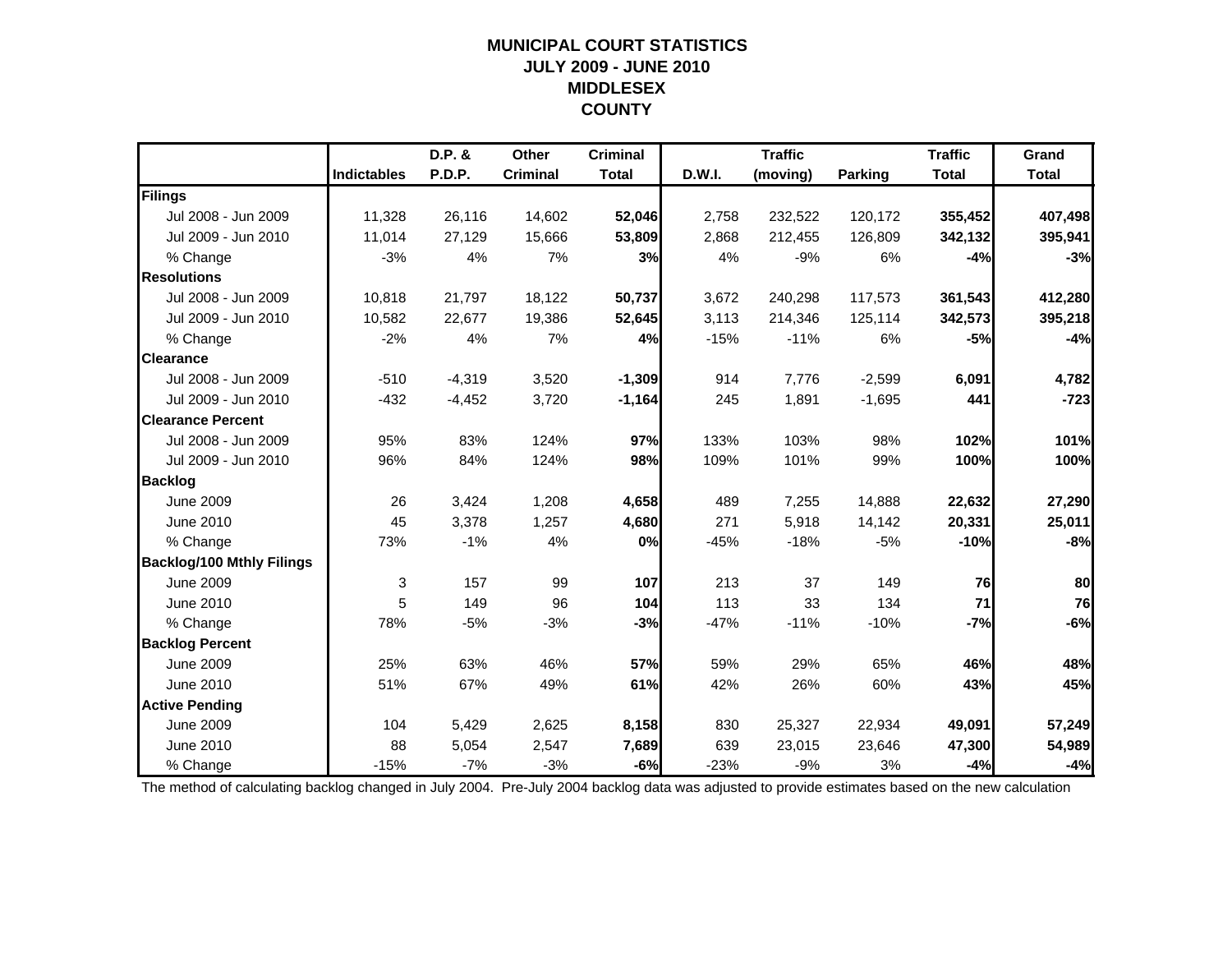### **MUNICIPAL COURT STATISTICSJULY 2009 - JUNE 2010 MIDDLESEX COUNTY**

|                                  |                    | D.P. &        | Other           | <b>Criminal</b> |        | <b>Traffic</b> |                | <b>Traffic</b> | Grand        |
|----------------------------------|--------------------|---------------|-----------------|-----------------|--------|----------------|----------------|----------------|--------------|
|                                  | <b>Indictables</b> | <b>P.D.P.</b> | <b>Criminal</b> | <b>Total</b>    | D.W.I. | (moving)       | <b>Parking</b> | <b>Total</b>   | <b>Total</b> |
| Filings                          |                    |               |                 |                 |        |                |                |                |              |
| Jul 2008 - Jun 2009              | 11,328             | 26,116        | 14,602          | 52,046          | 2,758  | 232,522        | 120,172        | 355,452        | 407,498      |
| Jul 2009 - Jun 2010              | 11,014             | 27,129        | 15,666          | 53,809          | 2,868  | 212,455        | 126,809        | 342,132        | 395,941      |
| % Change                         | $-3%$              | 4%            | 7%              | 3%              | 4%     | $-9%$          | 6%             | $-4%$          | $-3%$        |
| <b>Resolutions</b>               |                    |               |                 |                 |        |                |                |                |              |
| Jul 2008 - Jun 2009              | 10.818             | 21,797        | 18,122          | 50,737          | 3,672  | 240,298        | 117,573        | 361,543        | 412,280      |
| Jul 2009 - Jun 2010              | 10,582             | 22,677        | 19,386          | 52,645          | 3,113  | 214,346        | 125,114        | 342,573        | 395,218      |
| % Change                         | $-2%$              | 4%            | 7%              | 4%              | $-15%$ | $-11%$         | 6%             | $-5%$          | $-4%$        |
| <b>Clearance</b>                 |                    |               |                 |                 |        |                |                |                |              |
| Jul 2008 - Jun 2009              | $-510$             | $-4,319$      | 3,520           | $-1,309$        | 914    | 7,776          | $-2,599$       | 6,091          | 4,782        |
| Jul 2009 - Jun 2010              | $-432$             | $-4,452$      | 3,720           | $-1,164$        | 245    | 1,891          | $-1,695$       | 441            | $-723$       |
| <b>Clearance Percent</b>         |                    |               |                 |                 |        |                |                |                |              |
| Jul 2008 - Jun 2009              | 95%                | 83%           | 124%            | 97%             | 133%   | 103%           | 98%            | 102%           | 101%         |
| Jul 2009 - Jun 2010              | 96%                | 84%           | 124%            | 98%             | 109%   | 101%           | 99%            | 100%           | 100%         |
| <b>Backlog</b>                   |                    |               |                 |                 |        |                |                |                |              |
| <b>June 2009</b>                 | 26                 | 3,424         | 1,208           | 4,658           | 489    | 7,255          | 14,888         | 22,632         | 27,290       |
| June 2010                        | 45                 | 3,378         | 1,257           | 4,680           | 271    | 5,918          | 14,142         | 20,331         | 25,011       |
| % Change                         | 73%                | $-1%$         | 4%              | 0%              | $-45%$ | $-18%$         | $-5%$          | $-10%$         | $-8%$        |
| <b>Backlog/100 Mthly Filings</b> |                    |               |                 |                 |        |                |                |                |              |
| <b>June 2009</b>                 | 3                  | 157           | 99              | 107             | 213    | 37             | 149            | 76             | 80           |
| June 2010                        | 5                  | 149           | 96              | 104             | 113    | 33             | 134            | 71             | 76           |
| % Change                         | 78%                | $-5%$         | $-3%$           | $-3%$           | $-47%$ | $-11%$         | $-10%$         | $-7%$          | $-6%$        |
| <b>Backlog Percent</b>           |                    |               |                 |                 |        |                |                |                |              |
| <b>June 2009</b>                 | 25%                | 63%           | 46%             | 57%             | 59%    | 29%            | 65%            | 46%            | 48%          |
| June 2010                        | 51%                | 67%           | 49%             | 61%             | 42%    | 26%            | 60%            | 43%            | 45%          |
| <b>Active Pending</b>            |                    |               |                 |                 |        |                |                |                |              |
| <b>June 2009</b>                 | 104                | 5,429         | 2,625           | 8,158           | 830    | 25,327         | 22,934         | 49,091         | 57,249       |
| June 2010                        | 88                 | 5,054         | 2,547           | 7,689           | 639    | 23,015         | 23,646         | 47,300         | 54,989       |
| % Change                         | $-15%$             | $-7%$         | $-3%$           | $-6%$           | $-23%$ | $-9%$          | 3%             | $-4%$          | $-4%$        |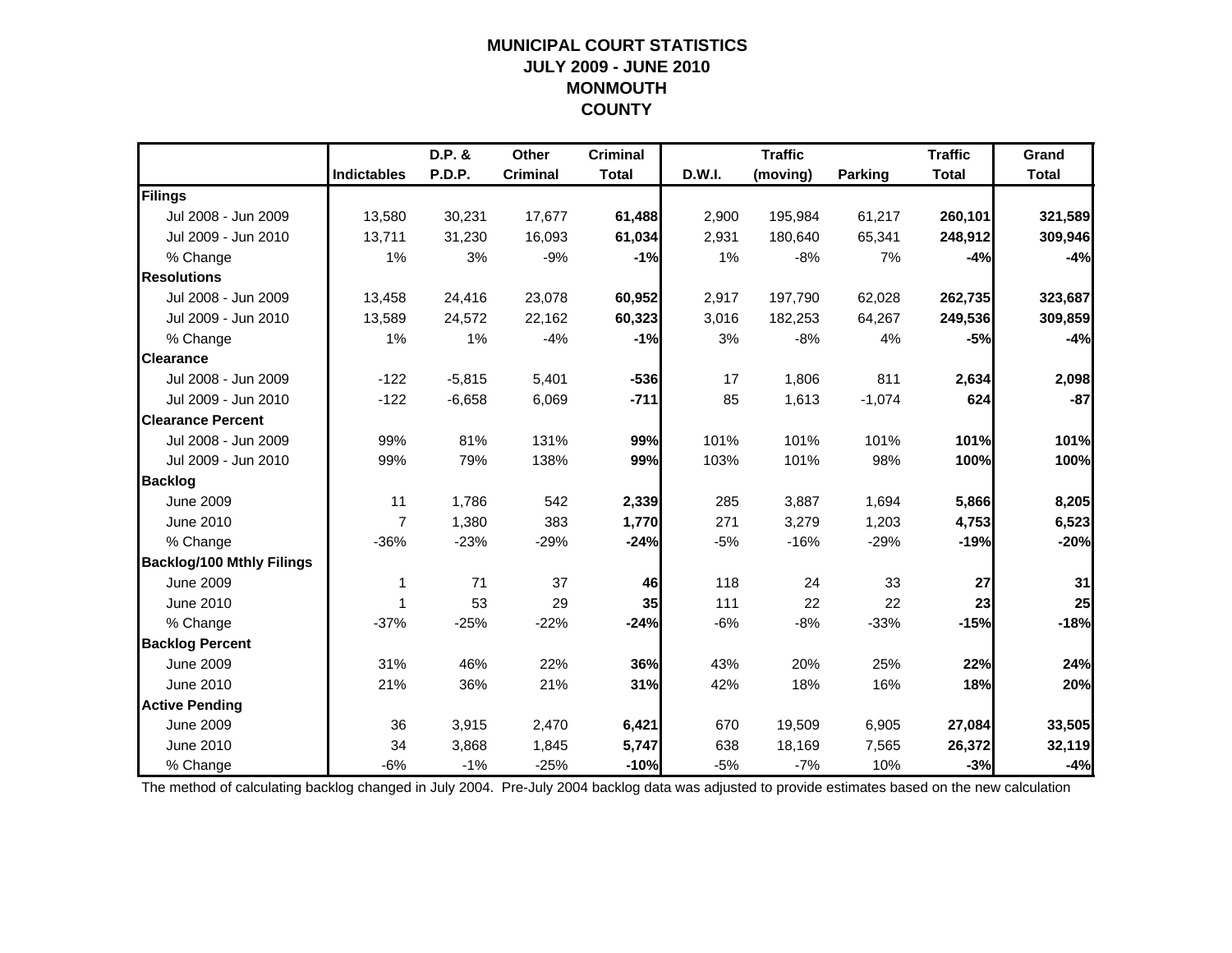### **MUNICIPAL COURT STATISTICSJULY 2009 - JUNE 2010 MONMOUTH COUNTY**

|                                  |                    | D.P. &   | Other           | <b>Criminal</b> |        | <b>Traffic</b> |                | <b>Traffic</b> | Grand        |
|----------------------------------|--------------------|----------|-----------------|-----------------|--------|----------------|----------------|----------------|--------------|
|                                  | <b>Indictables</b> | P.D.P.   | <b>Criminal</b> | <b>Total</b>    | D.W.I. | (moving)       | <b>Parking</b> | <b>Total</b>   | <b>Total</b> |
| Filings                          |                    |          |                 |                 |        |                |                |                |              |
| Jul 2008 - Jun 2009              | 13,580             | 30,231   | 17,677          | 61,488          | 2,900  | 195,984        | 61,217         | 260,101        | 321,589      |
| Jul 2009 - Jun 2010              | 13,711             | 31,230   | 16,093          | 61,034          | 2,931  | 180,640        | 65,341         | 248,912        | 309,946      |
| % Change                         | 1%                 | 3%       | $-9%$           | $-1%$           | 1%     | $-8%$          | 7%             | $-4%$          | $-4%$        |
| <b>Resolutions</b>               |                    |          |                 |                 |        |                |                |                |              |
| Jul 2008 - Jun 2009              | 13,458             | 24,416   | 23,078          | 60,952          | 2,917  | 197,790        | 62,028         | 262,735        | 323,687      |
| Jul 2009 - Jun 2010              | 13,589             | 24,572   | 22,162          | 60,323          | 3,016  | 182,253        | 64,267         | 249,536        | 309,859      |
| % Change                         | 1%                 | 1%       | $-4%$           | $-1%$           | 3%     | $-8%$          | 4%             | $-5%$          | $-4%$        |
| <b>Clearance</b>                 |                    |          |                 |                 |        |                |                |                |              |
| Jul 2008 - Jun 2009              | $-122$             | $-5,815$ | 5,401           | $-536$          | 17     | 1,806          | 811            | 2,634          | 2,098        |
| Jul 2009 - Jun 2010              | $-122$             | $-6,658$ | 6,069           | $-711$          | 85     | 1,613          | $-1,074$       | 624            | $-87$        |
| <b>Clearance Percent</b>         |                    |          |                 |                 |        |                |                |                |              |
| Jul 2008 - Jun 2009              | 99%                | 81%      | 131%            | 99%             | 101%   | 101%           | 101%           | 101%           | 101%         |
| Jul 2009 - Jun 2010              | 99%                | 79%      | 138%            | 99%             | 103%   | 101%           | 98%            | 100%           | 100%         |
| <b>Backlog</b>                   |                    |          |                 |                 |        |                |                |                |              |
| <b>June 2009</b>                 | 11                 | 1,786    | 542             | 2,339           | 285    | 3,887          | 1,694          | 5,866          | 8,205        |
| June 2010                        | $\overline{7}$     | 1,380    | 383             | 1,770           | 271    | 3,279          | 1,203          | 4,753          | 6,523        |
| % Change                         | $-36%$             | $-23%$   | $-29%$          | $-24%$          | $-5%$  | $-16%$         | $-29%$         | $-19%$         | $-20%$       |
| <b>Backlog/100 Mthly Filings</b> |                    |          |                 |                 |        |                |                |                |              |
| <b>June 2009</b>                 | 1                  | 71       | 37              | 46              | 118    | 24             | 33             | 27             | 31           |
| June 2010                        | 1                  | 53       | 29              | 35              | 111    | 22             | 22             | 23             | 25           |
| % Change                         | $-37%$             | $-25%$   | $-22%$          | $-24%$          | $-6%$  | $-8%$          | $-33%$         | $-15%$         | $-18%$       |
| <b>Backlog Percent</b>           |                    |          |                 |                 |        |                |                |                |              |
| <b>June 2009</b>                 | 31%                | 46%      | 22%             | 36%             | 43%    | 20%            | 25%            | 22%            | 24%          |
| June 2010                        | 21%                | 36%      | 21%             | 31%             | 42%    | 18%            | 16%            | 18%            | 20%          |
| <b>Active Pending</b>            |                    |          |                 |                 |        |                |                |                |              |
| <b>June 2009</b>                 | 36                 | 3,915    | 2,470           | 6,421           | 670    | 19,509         | 6,905          | 27,084         | 33,505       |
| June 2010                        | 34                 | 3,868    | 1,845           | 5,747           | 638    | 18,169         | 7,565          | 26,372         | 32,119       |
| % Change                         | $-6%$              | $-1%$    | $-25%$          | $-10%$          | $-5%$  | $-7%$          | 10%            | $-3%$          | $-4%$        |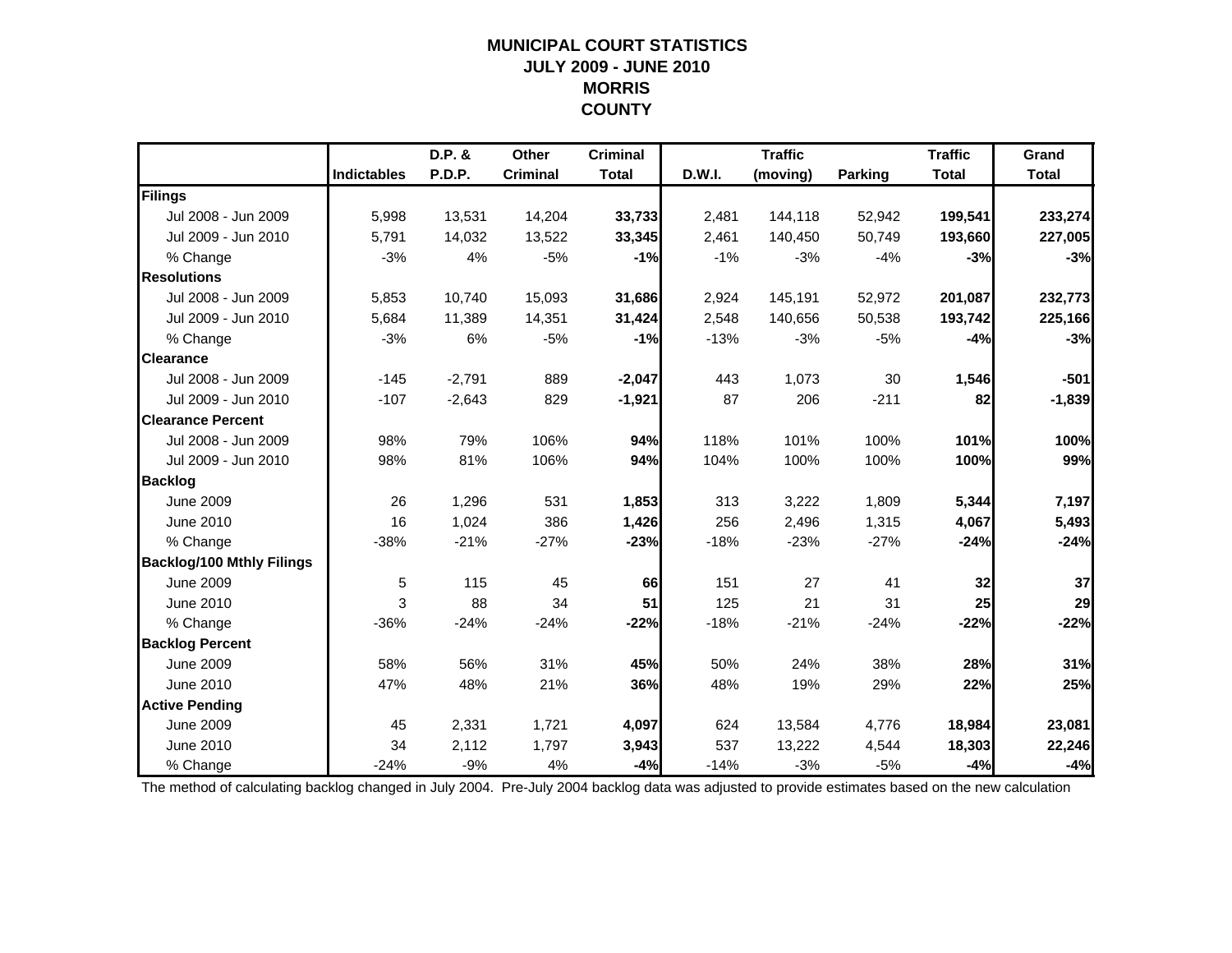### **MUNICIPAL COURT STATISTICSJULY 2009 - JUNE 2010 MORRIS COUNTY**

|                                  |                    | D.P. &   | Other           | <b>Criminal</b> |        | <b>Traffic</b> |                | <b>Traffic</b> | Grand        |
|----------------------------------|--------------------|----------|-----------------|-----------------|--------|----------------|----------------|----------------|--------------|
|                                  | <b>Indictables</b> | P.D.P.   | <b>Criminal</b> | <b>Total</b>    | D.W.I. | (moving)       | <b>Parking</b> | <b>Total</b>   | <b>Total</b> |
| Filings                          |                    |          |                 |                 |        |                |                |                |              |
| Jul 2008 - Jun 2009              | 5,998              | 13,531   | 14,204          | 33,733          | 2,481  | 144,118        | 52,942         | 199,541        | 233,274      |
| Jul 2009 - Jun 2010              | 5,791              | 14,032   | 13,522          | 33,345          | 2,461  | 140,450        | 50,749         | 193,660        | 227,005      |
| % Change                         | $-3%$              | 4%       | $-5%$           | $-1%$           | $-1%$  | $-3%$          | $-4%$          | $-3%$          | $-3%$        |
| <b>Resolutions</b>               |                    |          |                 |                 |        |                |                |                |              |
| Jul 2008 - Jun 2009              | 5,853              | 10,740   | 15,093          | 31,686          | 2,924  | 145,191        | 52,972         | 201,087        | 232,773      |
| Jul 2009 - Jun 2010              | 5,684              | 11,389   | 14,351          | 31,424          | 2,548  | 140,656        | 50,538         | 193,742        | 225,166      |
| % Change                         | $-3%$              | 6%       | $-5%$           | $-1%$           | $-13%$ | $-3%$          | $-5%$          | $-4%$          | $-3%$        |
| <b>Clearance</b>                 |                    |          |                 |                 |        |                |                |                |              |
| Jul 2008 - Jun 2009              | $-145$             | $-2,791$ | 889             | $-2,047$        | 443    | 1,073          | 30             | 1,546          | $-501$       |
| Jul 2009 - Jun 2010              | $-107$             | $-2,643$ | 829             | $-1,921$        | 87     | 206            | $-211$         | 82             | $-1,839$     |
| <b>Clearance Percent</b>         |                    |          |                 |                 |        |                |                |                |              |
| Jul 2008 - Jun 2009              | 98%                | 79%      | 106%            | 94%             | 118%   | 101%           | 100%           | 101%           | 100%         |
| Jul 2009 - Jun 2010              | 98%                | 81%      | 106%            | 94%             | 104%   | 100%           | 100%           | 100%           | 99%          |
| <b>Backlog</b>                   |                    |          |                 |                 |        |                |                |                |              |
| <b>June 2009</b>                 | 26                 | 1,296    | 531             | 1,853           | 313    | 3,222          | 1,809          | 5,344          | 7,197        |
| June 2010                        | 16                 | 1,024    | 386             | 1,426           | 256    | 2,496          | 1,315          | 4,067          | 5,493        |
| % Change                         | $-38%$             | $-21%$   | $-27%$          | $-23%$          | $-18%$ | $-23%$         | $-27%$         | $-24%$         | $-24%$       |
| <b>Backlog/100 Mthly Filings</b> |                    |          |                 |                 |        |                |                |                |              |
| <b>June 2009</b>                 | $\,$ 5 $\,$        | 115      | 45              | 66              | 151    | 27             | 41             | 32             | 37           |
| June 2010                        | 3                  | 88       | 34              | 51              | 125    | 21             | 31             | 25             | 29           |
| % Change                         | $-36%$             | $-24%$   | $-24%$          | $-22%$          | $-18%$ | $-21%$         | $-24%$         | $-22%$         | $-22%$       |
| <b>Backlog Percent</b>           |                    |          |                 |                 |        |                |                |                |              |
| <b>June 2009</b>                 | 58%                | 56%      | 31%             | 45%             | 50%    | 24%            | 38%            | 28%            | 31%          |
| June 2010                        | 47%                | 48%      | 21%             | 36%             | 48%    | 19%            | 29%            | 22%            | 25%          |
| <b>Active Pending</b>            |                    |          |                 |                 |        |                |                |                |              |
| <b>June 2009</b>                 | 45                 | 2,331    | 1,721           | 4,097           | 624    | 13,584         | 4,776          | 18,984         | 23,081       |
| June 2010                        | 34                 | 2,112    | 1,797           | 3,943           | 537    | 13,222         | 4,544          | 18,303         | 22,246       |
| % Change                         | $-24%$             | $-9%$    | 4%              | $-4%$           | $-14%$ | $-3%$          | $-5%$          | $-4%$          | $-4%$        |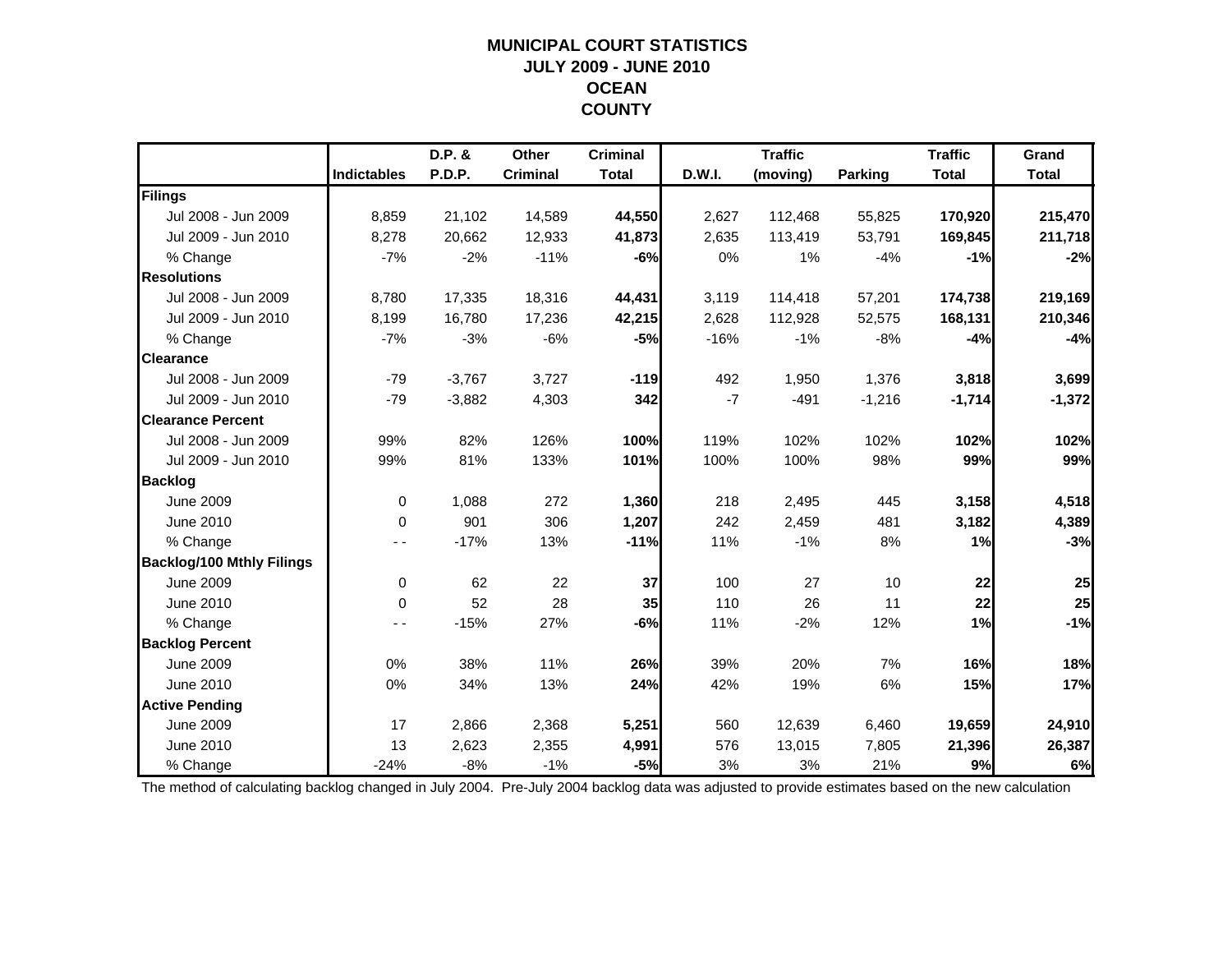### **MUNICIPAL COURT STATISTICSJULY 2009 - JUNE 2010 OCEAN COUNTY**

|                                  |                    | D.P. &        | Other           | <b>Criminal</b> |        | <b>Traffic</b> |                | <b>Traffic</b> | Grand        |
|----------------------------------|--------------------|---------------|-----------------|-----------------|--------|----------------|----------------|----------------|--------------|
|                                  | <b>Indictables</b> | <b>P.D.P.</b> | <b>Criminal</b> | <b>Total</b>    | D.W.I. | (moving)       | <b>Parking</b> | <b>Total</b>   | <b>Total</b> |
| Filings                          |                    |               |                 |                 |        |                |                |                |              |
| Jul 2008 - Jun 2009              | 8,859              | 21,102        | 14,589          | 44,550          | 2,627  | 112,468        | 55,825         | 170,920        | 215,470      |
| Jul 2009 - Jun 2010              | 8,278              | 20,662        | 12,933          | 41,873          | 2,635  | 113,419        | 53,791         | 169,845        | 211,718      |
| % Change                         | $-7%$              | $-2%$         | $-11%$          | $-6%$           | 0%     | 1%             | $-4%$          | $-1%$          | $-2%$        |
| <b>Resolutions</b>               |                    |               |                 |                 |        |                |                |                |              |
| Jul 2008 - Jun 2009              | 8,780              | 17,335        | 18,316          | 44,431          | 3,119  | 114,418        | 57,201         | 174,738        | 219,169      |
| Jul 2009 - Jun 2010              | 8,199              | 16,780        | 17,236          | 42,215          | 2,628  | 112,928        | 52,575         | 168,131        | 210,346      |
| % Change                         | $-7%$              | $-3%$         | $-6%$           | $-5%$           | $-16%$ | $-1%$          | $-8%$          | $-4%$          | $-4%$        |
| <b>Clearance</b>                 |                    |               |                 |                 |        |                |                |                |              |
| Jul 2008 - Jun 2009              | $-79$              | $-3,767$      | 3,727           | $-119$          | 492    | 1,950          | 1,376          | 3,818          | 3,699        |
| Jul 2009 - Jun 2010              | $-79$              | $-3,882$      | 4,303           | 342             | $-7$   | $-491$         | $-1,216$       | $-1,714$       | $-1,372$     |
| <b>Clearance Percent</b>         |                    |               |                 |                 |        |                |                |                |              |
| Jul 2008 - Jun 2009              | 99%                | 82%           | 126%            | 100%            | 119%   | 102%           | 102%           | 102%           | 102%         |
| Jul 2009 - Jun 2010              | 99%                | 81%           | 133%            | 101%            | 100%   | 100%           | 98%            | 99%            | 99%          |
| <b>Backlog</b>                   |                    |               |                 |                 |        |                |                |                |              |
| <b>June 2009</b>                 | $\mathbf 0$        | 1,088         | 272             | 1,360           | 218    | 2,495          | 445            | 3,158          | 4,518        |
| June 2010                        | $\Omega$           | 901           | 306             | 1,207           | 242    | 2,459          | 481            | 3,182          | 4,389        |
| % Change                         |                    | $-17%$        | 13%             | $-11%$          | 11%    | $-1%$          | 8%             | 1%             | $-3%$        |
| <b>Backlog/100 Mthly Filings</b> |                    |               |                 |                 |        |                |                |                |              |
| <b>June 2009</b>                 | $\mathbf 0$        | 62            | 22              | 37              | 100    | 27             | 10             | 22             | 25           |
| June 2010                        | $\Omega$           | 52            | 28              | 35              | 110    | 26             | 11             | 22             | 25           |
| % Change                         | - -                | $-15%$        | 27%             | $-6%$           | 11%    | $-2%$          | 12%            | 1%             | $-1%$        |
| <b>Backlog Percent</b>           |                    |               |                 |                 |        |                |                |                |              |
| <b>June 2009</b>                 | 0%                 | 38%           | 11%             | 26%             | 39%    | 20%            | 7%             | 16%            | 18%          |
| June 2010                        | 0%                 | 34%           | 13%             | 24%             | 42%    | 19%            | 6%             | 15%            | 17%          |
| <b>Active Pending</b>            |                    |               |                 |                 |        |                |                |                |              |
| <b>June 2009</b>                 | 17                 | 2,866         | 2,368           | 5,251           | 560    | 12,639         | 6,460          | 19,659         | 24,910       |
| June 2010                        | 13                 | 2,623         | 2,355           | 4,991           | 576    | 13,015         | 7,805          | 21,396         | 26,387       |
| % Change                         | $-24%$             | $-8%$         | $-1%$           | $-5%$           | 3%     | 3%             | 21%            | 9%             | 6%           |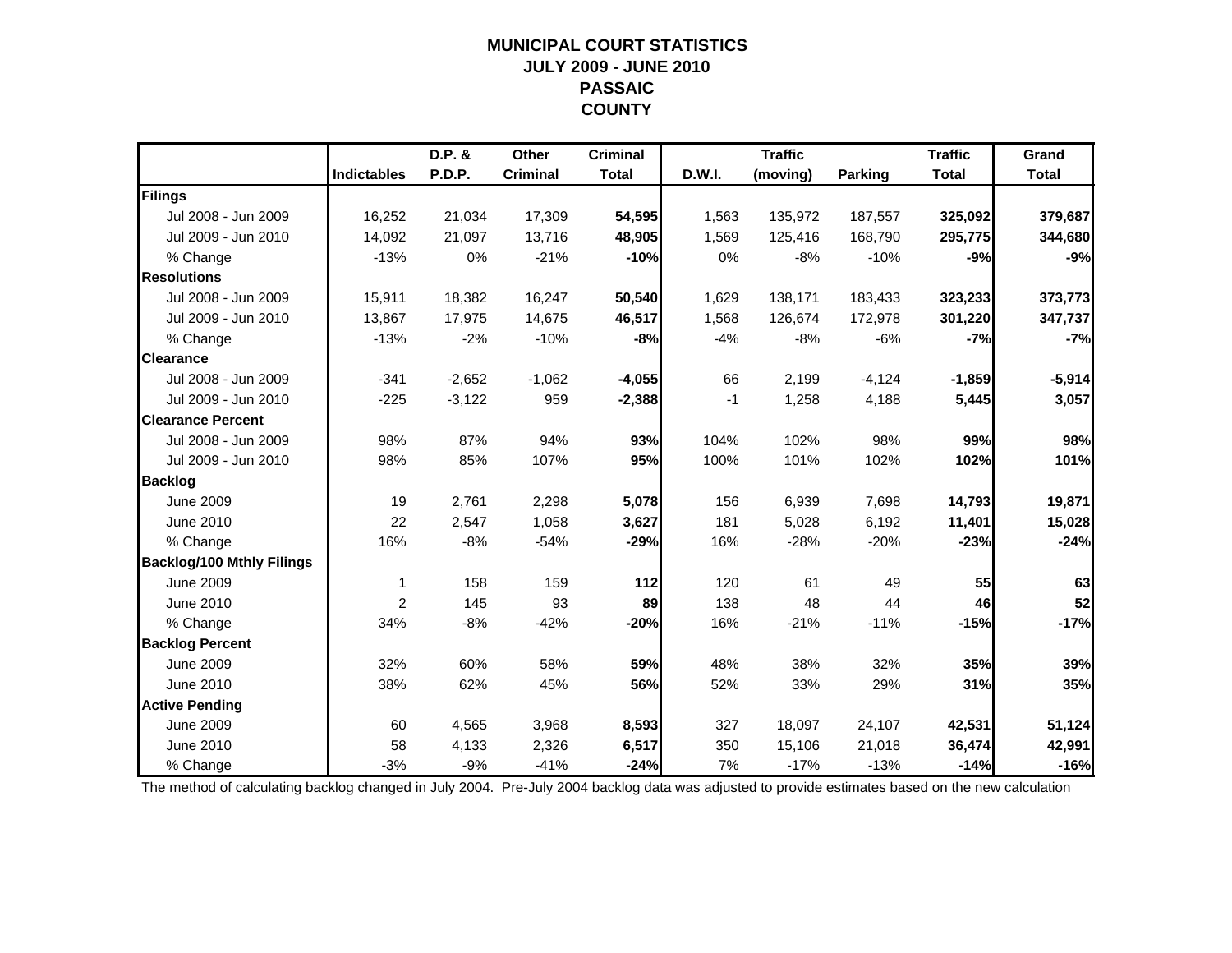### **MUNICIPAL COURT STATISTICSJULY 2009 - JUNE 2010 PASSAIC COUNTY**

|                                  |                    | $D.P.$ & | Other           | <b>Criminal</b> |               | <b>Traffic</b> |                | <b>Traffic</b> | Grand        |
|----------------------------------|--------------------|----------|-----------------|-----------------|---------------|----------------|----------------|----------------|--------------|
|                                  | <b>Indictables</b> | P.D.P.   | <b>Criminal</b> | <b>Total</b>    | <b>D.W.I.</b> | (moving)       | <b>Parking</b> | <b>Total</b>   | <b>Total</b> |
| Filings                          |                    |          |                 |                 |               |                |                |                |              |
| Jul 2008 - Jun 2009              | 16,252             | 21,034   | 17,309          | 54,595          | 1,563         | 135,972        | 187,557        | 325,092        | 379,687      |
| Jul 2009 - Jun 2010              | 14,092             | 21,097   | 13,716          | 48,905          | 1,569         | 125,416        | 168,790        | 295,775        | 344,680      |
| % Change                         | $-13%$             | 0%       | $-21%$          | $-10%$          | 0%            | $-8%$          | $-10%$         | $-9%$          | $-9%$        |
| <b>Resolutions</b>               |                    |          |                 |                 |               |                |                |                |              |
| Jul 2008 - Jun 2009              | 15,911             | 18,382   | 16,247          | 50,540          | 1,629         | 138,171        | 183,433        | 323,233        | 373,773      |
| Jul 2009 - Jun 2010              | 13,867             | 17,975   | 14,675          | 46,517          | 1,568         | 126,674        | 172,978        | 301,220        | 347,737      |
| % Change                         | $-13%$             | $-2%$    | $-10%$          | $-8%$           | $-4%$         | $-8%$          | $-6%$          | $-7%$          | $-7%$        |
| <b>Clearance</b>                 |                    |          |                 |                 |               |                |                |                |              |
| Jul 2008 - Jun 2009              | $-341$             | $-2,652$ | $-1,062$        | $-4,055$        | 66            | 2,199          | $-4,124$       | $-1,859$       | $-5,914$     |
| Jul 2009 - Jun 2010              | $-225$             | $-3,122$ | 959             | $-2,388$        | $-1$          | 1,258          | 4,188          | 5,445          | 3,057        |
| <b>Clearance Percent</b>         |                    |          |                 |                 |               |                |                |                |              |
| Jul 2008 - Jun 2009              | 98%                | 87%      | 94%             | 93%             | 104%          | 102%           | 98%            | 99%            | 98%          |
| Jul 2009 - Jun 2010              | 98%                | 85%      | 107%            | 95%             | 100%          | 101%           | 102%           | 102%           | 101%         |
| <b>Backlog</b>                   |                    |          |                 |                 |               |                |                |                |              |
| <b>June 2009</b>                 | 19                 | 2,761    | 2,298           | 5,078           | 156           | 6,939          | 7,698          | 14,793         | 19,871       |
| June 2010                        | 22                 | 2.547    | 1,058           | 3,627           | 181           | 5,028          | 6,192          | 11,401         | 15,028       |
| % Change                         | 16%                | $-8%$    | $-54%$          | $-29%$          | 16%           | $-28%$         | $-20%$         | $-23%$         | $-24%$       |
| <b>Backlog/100 Mthly Filings</b> |                    |          |                 |                 |               |                |                |                |              |
| <b>June 2009</b>                 | 1                  | 158      | 159             | $112$           | 120           | 61             | 49             | 55             | 63           |
| June 2010                        | 2                  | 145      | 93              | 89              | 138           | 48             | 44             | 46             | 52           |
| % Change                         | 34%                | $-8%$    | $-42%$          | $-20%$          | 16%           | $-21%$         | $-11%$         | $-15%$         | $-17%$       |
| <b>Backlog Percent</b>           |                    |          |                 |                 |               |                |                |                |              |
| <b>June 2009</b>                 | 32%                | 60%      | 58%             | 59%             | 48%           | 38%            | 32%            | 35%            | 39%          |
| June 2010                        | 38%                | 62%      | 45%             | 56%             | 52%           | 33%            | 29%            | 31%            | 35%          |
| <b>Active Pending</b>            |                    |          |                 |                 |               |                |                |                |              |
| <b>June 2009</b>                 | 60                 | 4,565    | 3,968           | 8,593           | 327           | 18,097         | 24,107         | 42,531         | 51,124       |
| <b>June 2010</b>                 | 58                 | 4,133    | 2,326           | 6,517           | 350           | 15,106         | 21,018         | 36,474         | 42,991       |
| % Change                         | $-3%$              | $-9%$    | $-41%$          | $-24%$          | 7%            | $-17%$         | $-13%$         | $-14%$         | $-16%$       |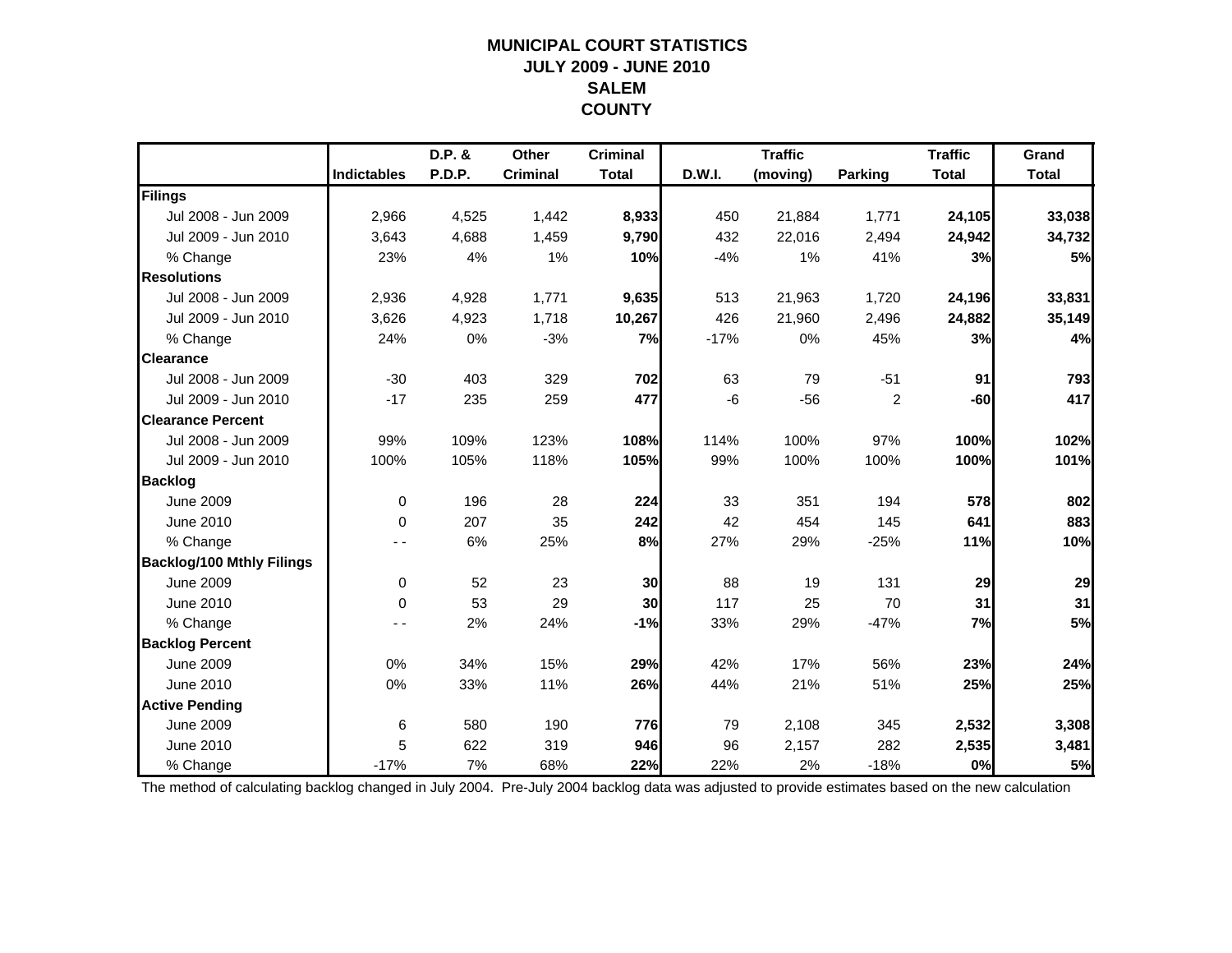### **MUNICIPAL COURT STATISTICSJULY 2009 - JUNE 2010 SALEMCOUNTY**

|                                  |                    | D.P. &        | Other           | <b>Criminal</b> |        | <b>Traffic</b> |                | <b>Traffic</b> | Grand        |
|----------------------------------|--------------------|---------------|-----------------|-----------------|--------|----------------|----------------|----------------|--------------|
|                                  | <b>Indictables</b> | <b>P.D.P.</b> | <b>Criminal</b> | <b>Total</b>    | D.W.I. | (moving)       | Parking        | <b>Total</b>   | <b>Total</b> |
| Filings                          |                    |               |                 |                 |        |                |                |                |              |
| Jul 2008 - Jun 2009              | 2,966              | 4,525         | 1,442           | 8,933           | 450    | 21,884         | 1,771          | 24,105         | 33,038       |
| Jul 2009 - Jun 2010              | 3,643              | 4,688         | 1,459           | 9,790           | 432    | 22,016         | 2,494          | 24,942         | 34,732       |
| % Change                         | 23%                | 4%            | 1%              | 10%             | $-4%$  | 1%             | 41%            | 3%             | 5%           |
| <b>Resolutions</b>               |                    |               |                 |                 |        |                |                |                |              |
| Jul 2008 - Jun 2009              | 2,936              | 4,928         | 1,771           | 9,635           | 513    | 21,963         | 1,720          | 24,196         | 33,831       |
| Jul 2009 - Jun 2010              | 3,626              | 4,923         | 1,718           | 10,267          | 426    | 21,960         | 2,496          | 24,882         | 35,149       |
| % Change                         | 24%                | 0%            | $-3%$           | 7%              | $-17%$ | 0%             | 45%            | 3%             | 4%           |
| <b>Clearance</b>                 |                    |               |                 |                 |        |                |                |                |              |
| Jul 2008 - Jun 2009              | $-30$              | 403           | 329             | 702             | 63     | 79             | $-51$          | 91             | 793          |
| Jul 2009 - Jun 2010              | $-17$              | 235           | 259             | 477             | -6     | $-56$          | $\overline{2}$ | $-60$          | 417          |
| <b>Clearance Percent</b>         |                    |               |                 |                 |        |                |                |                |              |
| Jul 2008 - Jun 2009              | 99%                | 109%          | 123%            | 108%            | 114%   | 100%           | 97%            | 100%           | 102%         |
| Jul 2009 - Jun 2010              | 100%               | 105%          | 118%            | 105%            | 99%    | 100%           | 100%           | 100%           | 101%         |
| <b>Backlog</b>                   |                    |               |                 |                 |        |                |                |                |              |
| <b>June 2009</b>                 | $\mathbf 0$        | 196           | 28              | 224             | 33     | 351            | 194            | 578            | 802          |
| June 2010                        | 0                  | 207           | 35              | 242             | 42     | 454            | 145            | 641            | 883          |
| % Change                         |                    | 6%            | 25%             | 8%              | 27%    | 29%            | $-25%$         | 11%            | 10%          |
| <b>Backlog/100 Mthly Filings</b> |                    |               |                 |                 |        |                |                |                |              |
| <b>June 2009</b>                 | $\mathbf 0$        | 52            | 23              | 30              | 88     | 19             | 131            | 29             | 29           |
| June 2010                        | $\Omega$           | 53            | 29              | 30              | 117    | 25             | 70             | 31             | 31           |
| % Change                         |                    | 2%            | 24%             | $-1%$           | 33%    | 29%            | $-47%$         | 7%             | 5%           |
| <b>Backlog Percent</b>           |                    |               |                 |                 |        |                |                |                |              |
| <b>June 2009</b>                 | 0%                 | 34%           | 15%             | 29%             | 42%    | 17%            | 56%            | 23%            | 24%          |
| June 2010                        | 0%                 | 33%           | 11%             | 26%             | 44%    | 21%            | 51%            | 25%            | 25%          |
| <b>Active Pending</b>            |                    |               |                 |                 |        |                |                |                |              |
| <b>June 2009</b>                 | 6                  | 580           | 190             | 776             | 79     | 2,108          | 345            | 2,532          | 3,308        |
| June 2010                        | 5                  | 622           | 319             | 946             | 96     | 2,157          | 282            | 2,535          | 3,481        |
| % Change                         | $-17%$             | 7%            | 68%             | 22%             | 22%    | 2%             | $-18%$         | 0%             | 5%           |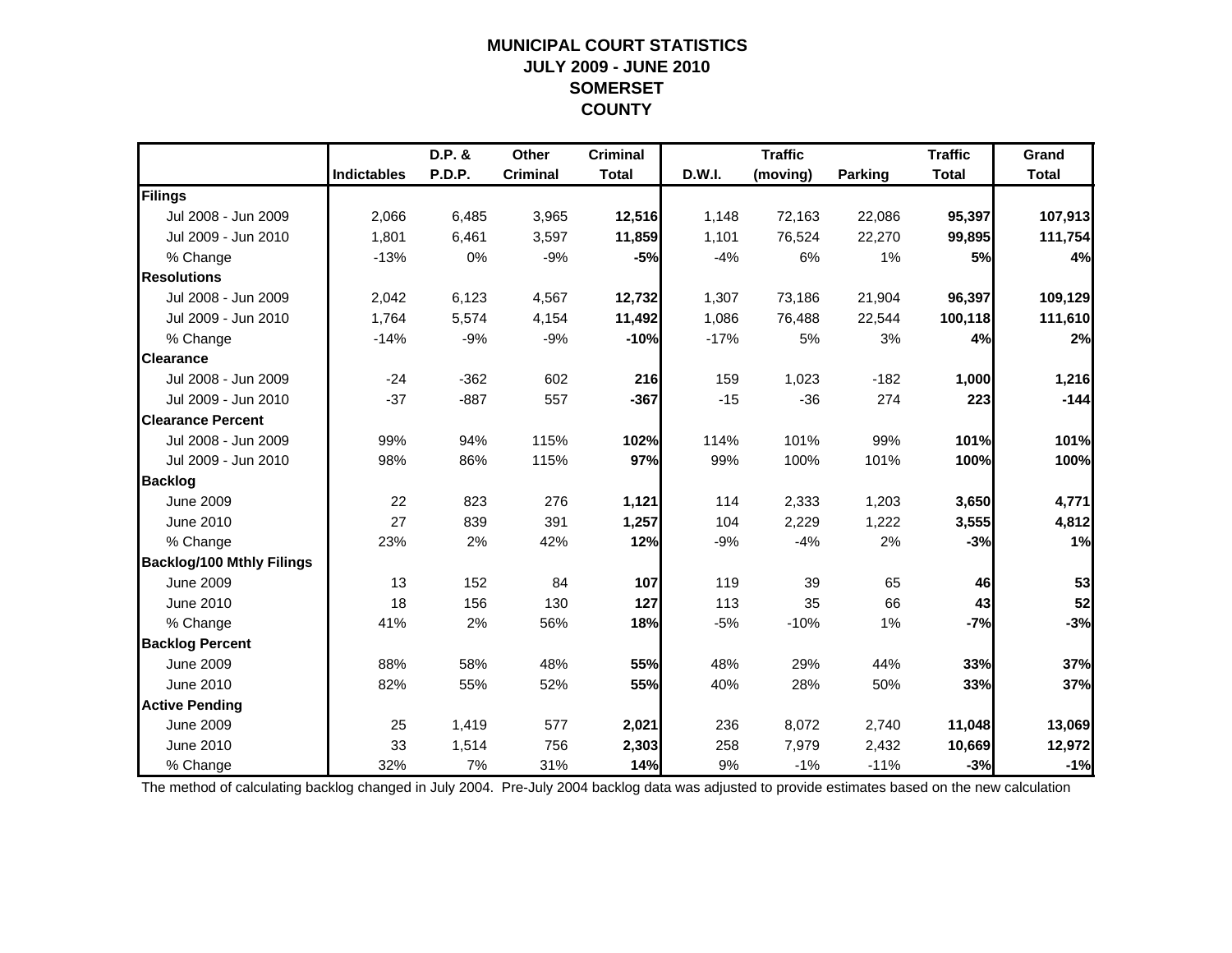### **MUNICIPAL COURT STATISTICSJULY 2009 - JUNE 2010 SOMERSET COUNTY**

|                                  |                    | D.P. &        | Other           | <b>Criminal</b> |        | <b>Traffic</b> |                | <b>Traffic</b> | Grand        |
|----------------------------------|--------------------|---------------|-----------------|-----------------|--------|----------------|----------------|----------------|--------------|
|                                  | <b>Indictables</b> | <b>P.D.P.</b> | <b>Criminal</b> | <b>Total</b>    | D.W.I. | (moving)       | <b>Parking</b> | <b>Total</b>   | <b>Total</b> |
| Filings                          |                    |               |                 |                 |        |                |                |                |              |
| Jul 2008 - Jun 2009              | 2,066              | 6,485         | 3,965           | 12,516          | 1,148  | 72,163         | 22,086         | 95,397         | 107,913      |
| Jul 2009 - Jun 2010              | 1,801              | 6,461         | 3,597           | 11,859          | 1,101  | 76,524         | 22,270         | 99,895         | 111,754      |
| % Change                         | $-13%$             | 0%            | $-9%$           | $-5%$           | $-4%$  | 6%             | 1%             | 5%             | 4%           |
| <b>Resolutions</b>               |                    |               |                 |                 |        |                |                |                |              |
| Jul 2008 - Jun 2009              | 2,042              | 6,123         | 4,567           | 12,732          | 1,307  | 73,186         | 21,904         | 96,397         | 109,129      |
| Jul 2009 - Jun 2010              | 1,764              | 5,574         | 4,154           | 11,492          | 1,086  | 76,488         | 22,544         | 100,118        | 111,610      |
| % Change                         | $-14%$             | $-9%$         | $-9%$           | $-10%$          | $-17%$ | 5%             | 3%             | 4%             | 2%           |
| <b>Clearance</b>                 |                    |               |                 |                 |        |                |                |                |              |
| Jul 2008 - Jun 2009              | $-24$              | $-362$        | 602             | 216             | 159    | 1,023          | $-182$         | 1,000          | 1,216        |
| Jul 2009 - Jun 2010              | $-37$              | $-887$        | 557             | $-367$          | $-15$  | $-36$          | 274            | 223            | $-144$       |
| <b>Clearance Percent</b>         |                    |               |                 |                 |        |                |                |                |              |
| Jul 2008 - Jun 2009              | 99%                | 94%           | 115%            | 102%            | 114%   | 101%           | 99%            | 101%           | 101%         |
| Jul 2009 - Jun 2010              | 98%                | 86%           | 115%            | 97%             | 99%    | 100%           | 101%           | 100%           | 100%         |
| <b>Backlog</b>                   |                    |               |                 |                 |        |                |                |                |              |
| <b>June 2009</b>                 | 22                 | 823           | 276             | 1,121           | 114    | 2,333          | 1,203          | 3,650          | 4,771        |
| June 2010                        | 27                 | 839           | 391             | 1,257           | 104    | 2,229          | 1,222          | 3,555          | 4,812        |
| % Change                         | 23%                | 2%            | 42%             | 12%             | $-9%$  | $-4%$          | 2%             | $-3%$          | 1%           |
| <b>Backlog/100 Mthly Filings</b> |                    |               |                 |                 |        |                |                |                |              |
| <b>June 2009</b>                 | 13                 | 152           | 84              | 107             | 119    | 39             | 65             | 46             | 53           |
| June 2010                        | 18                 | 156           | 130             | 127             | 113    | 35             | 66             | 43             | 52           |
| % Change                         | 41%                | 2%            | 56%             | 18%             | $-5%$  | $-10%$         | 1%             | $-7%$          | $-3%$        |
| <b>Backlog Percent</b>           |                    |               |                 |                 |        |                |                |                |              |
| <b>June 2009</b>                 | 88%                | 58%           | 48%             | 55%             | 48%    | 29%            | 44%            | 33%            | 37%          |
| June 2010                        | 82%                | 55%           | 52%             | 55%             | 40%    | 28%            | 50%            | 33%            | 37%          |
| <b>Active Pending</b>            |                    |               |                 |                 |        |                |                |                |              |
| <b>June 2009</b>                 | 25                 | 1,419         | 577             | 2,021           | 236    | 8,072          | 2,740          | 11,048         | 13,069       |
| June 2010                        | 33                 | 1,514         | 756             | 2,303           | 258    | 7,979          | 2,432          | 10,669         | 12,972       |
| % Change                         | 32%                | 7%            | 31%             | 14%             | 9%     | $-1%$          | $-11%$         | $-3%$          | $-1%$        |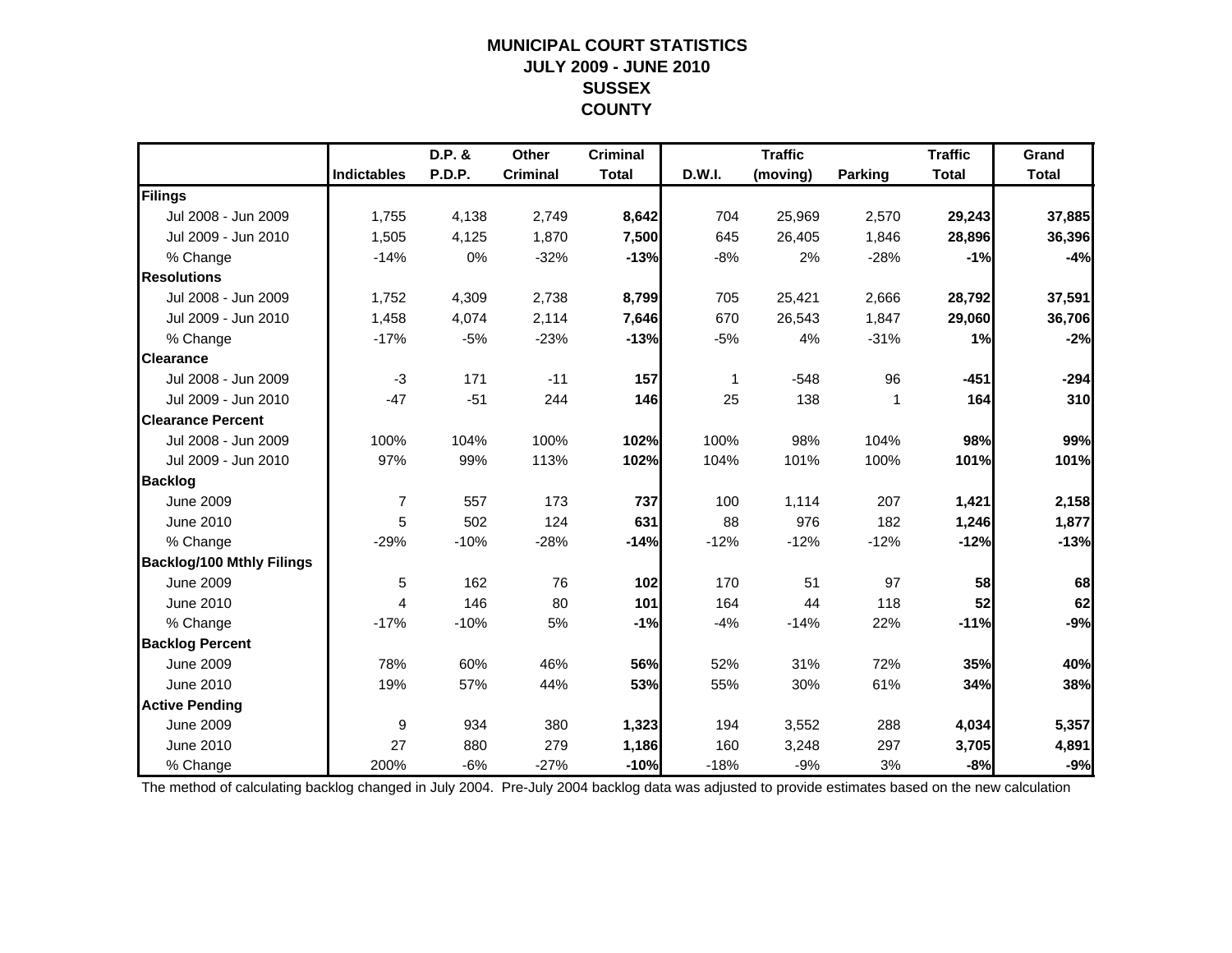### **MUNICIPAL COURT STATISTICSJULY 2009 - JUNE 2010 SUSSEX COUNTY**

|                                  |                    | D.P. & | Other           | <b>Criminal</b> |        | <b>Traffic</b> |                | <b>Traffic</b> | Grand        |
|----------------------------------|--------------------|--------|-----------------|-----------------|--------|----------------|----------------|----------------|--------------|
|                                  | <b>Indictables</b> | P.D.P. | <b>Criminal</b> | <b>Total</b>    | D.W.I. | (moving)       | <b>Parking</b> | <b>Total</b>   | <b>Total</b> |
| Filings                          |                    |        |                 |                 |        |                |                |                |              |
| Jul 2008 - Jun 2009              | 1,755              | 4,138  | 2,749           | 8,642           | 704    | 25,969         | 2,570          | 29,243         | 37,885       |
| Jul 2009 - Jun 2010              | 1,505              | 4,125  | 1,870           | 7,500           | 645    | 26,405         | 1,846          | 28,896         | 36,396       |
| % Change                         | $-14%$             | 0%     | $-32%$          | $-13%$          | $-8%$  | 2%             | $-28%$         | $-1%$          | $-4%$        |
| <b>Resolutions</b>               |                    |        |                 |                 |        |                |                |                |              |
| Jul 2008 - Jun 2009              | 1,752              | 4,309  | 2,738           | 8,799           | 705    | 25,421         | 2,666          | 28,792         | 37,591       |
| Jul 2009 - Jun 2010              | 1,458              | 4,074  | 2,114           | 7,646           | 670    | 26,543         | 1,847          | 29,060         | 36,706       |
| % Change                         | $-17%$             | $-5%$  | $-23%$          | $-13%$          | $-5%$  | 4%             | $-31%$         | 1%             | $-2%$        |
| <b>Clearance</b>                 |                    |        |                 |                 |        |                |                |                |              |
| Jul 2008 - Jun 2009              | $-3$               | 171    | $-11$           | 157             | 1      | $-548$         | 96             | $-451$         | $-294$       |
| Jul 2009 - Jun 2010              | $-47$              | $-51$  | 244             | 146             | 25     | 138            | 1              | 164            | 310          |
| <b>Clearance Percent</b>         |                    |        |                 |                 |        |                |                |                |              |
| Jul 2008 - Jun 2009              | 100%               | 104%   | 100%            | 102%            | 100%   | 98%            | 104%           | 98%            | 99%          |
| Jul 2009 - Jun 2010              | 97%                | 99%    | 113%            | 102%            | 104%   | 101%           | 100%           | 101%           | 101%         |
| <b>Backlog</b>                   |                    |        |                 |                 |        |                |                |                |              |
| <b>June 2009</b>                 | $\overline{7}$     | 557    | 173             | 737             | 100    | 1,114          | 207            | 1,421          | 2,158        |
| June 2010                        | 5                  | 502    | 124             | 631             | 88     | 976            | 182            | 1,246          | 1,877        |
| % Change                         | $-29%$             | $-10%$ | $-28%$          | $-14%$          | $-12%$ | $-12%$         | $-12%$         | $-12%$         | $-13%$       |
| <b>Backlog/100 Mthly Filings</b> |                    |        |                 |                 |        |                |                |                |              |
| <b>June 2009</b>                 | $\,$ 5 $\,$        | 162    | 76              | 102             | 170    | 51             | 97             | 58             | 68           |
| June 2010                        | 4                  | 146    | 80              | 101             | 164    | 44             | 118            | 52             | 62           |
| % Change                         | $-17%$             | $-10%$ | 5%              | $-1%$           | $-4%$  | $-14%$         | 22%            | $-11%$         | $-9%$        |
| <b>Backlog Percent</b>           |                    |        |                 |                 |        |                |                |                |              |
| <b>June 2009</b>                 | 78%                | 60%    | 46%             | 56%             | 52%    | 31%            | 72%            | 35%            | 40%          |
| June 2010                        | 19%                | 57%    | 44%             | 53%             | 55%    | 30%            | 61%            | 34%            | 38%          |
| <b>Active Pending</b>            |                    |        |                 |                 |        |                |                |                |              |
| <b>June 2009</b>                 | 9                  | 934    | 380             | 1,323           | 194    | 3,552          | 288            | 4,034          | 5,357        |
| June 2010                        | 27                 | 880    | 279             | 1,186           | 160    | 3,248          | 297            | 3,705          | 4,891        |
| % Change                         | 200%               | $-6%$  | $-27%$          | $-10%$          | $-18%$ | $-9%$          | 3%             | $-8%$          | $-9%$        |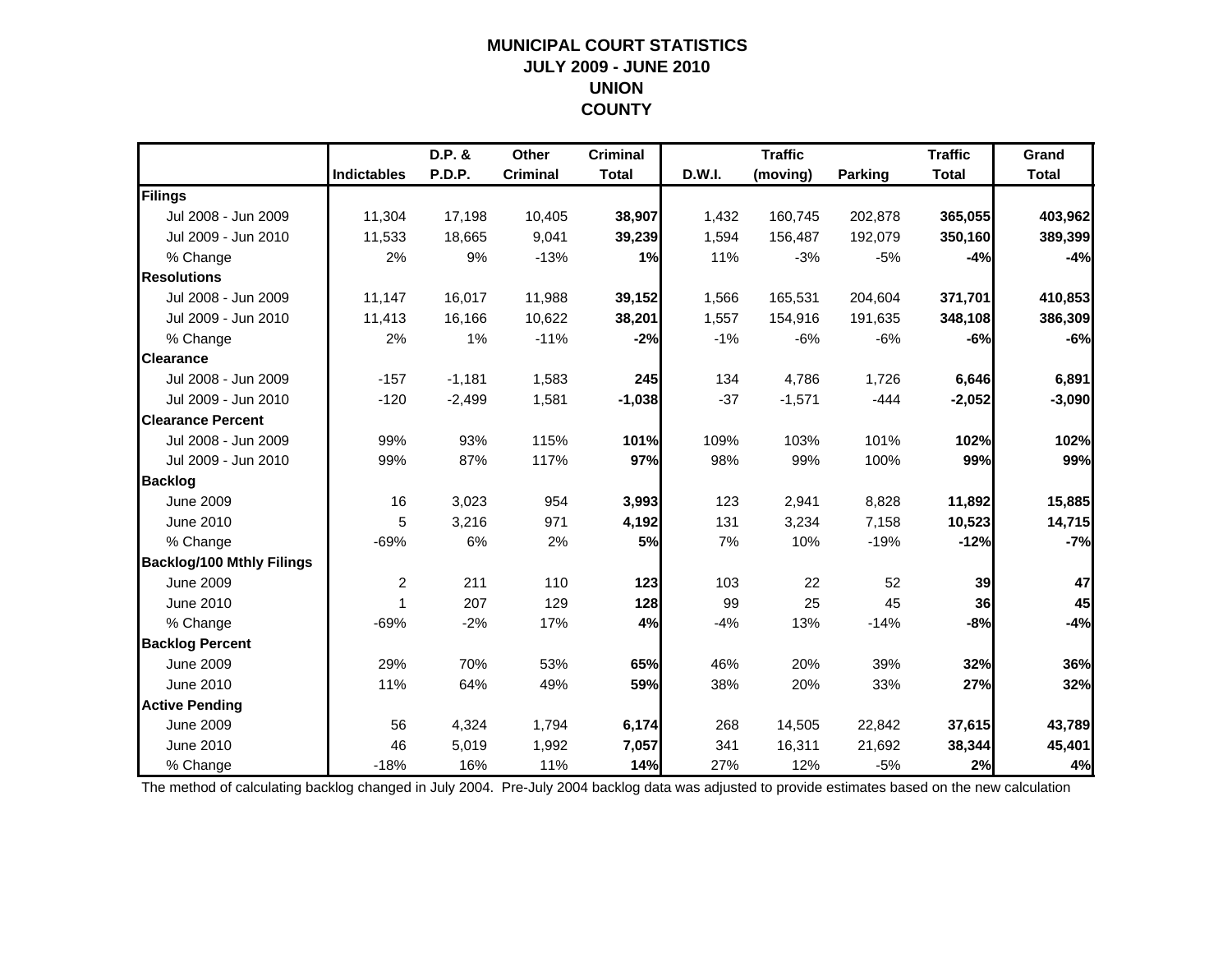### **MUNICIPAL COURT STATISTICSJULY 2009 - JUNE 2010 UNION COUNTY**

|                                  |                    | D.P. &   | Other           | <b>Criminal</b> |        | <b>Traffic</b> |                | <b>Traffic</b> | Grand        |
|----------------------------------|--------------------|----------|-----------------|-----------------|--------|----------------|----------------|----------------|--------------|
|                                  | <b>Indictables</b> | P.D.P.   | <b>Criminal</b> | <b>Total</b>    | D.W.I. | (moving)       | <b>Parking</b> | <b>Total</b>   | <b>Total</b> |
| Filings                          |                    |          |                 |                 |        |                |                |                |              |
| Jul 2008 - Jun 2009              | 11,304             | 17,198   | 10,405          | 38,907          | 1,432  | 160,745        | 202,878        | 365,055        | 403,962      |
| Jul 2009 - Jun 2010              | 11,533             | 18,665   | 9,041           | 39,239          | 1,594  | 156,487        | 192,079        | 350,160        | 389,399      |
| % Change                         | 2%                 | 9%       | $-13%$          | 1%              | 11%    | $-3%$          | $-5%$          | $-4%$          | $-4%$        |
| <b>Resolutions</b>               |                    |          |                 |                 |        |                |                |                |              |
| Jul 2008 - Jun 2009              | 11,147             | 16,017   | 11,988          | 39,152          | 1,566  | 165,531        | 204,604        | 371,701        | 410,853      |
| Jul 2009 - Jun 2010              | 11,413             | 16,166   | 10,622          | 38,201          | 1,557  | 154,916        | 191,635        | 348,108        | 386,309      |
| % Change                         | 2%                 | 1%       | $-11%$          | $-2%$           | $-1%$  | $-6%$          | $-6%$          | $-6%$          | $-6%$        |
| <b>Clearance</b>                 |                    |          |                 |                 |        |                |                |                |              |
| Jul 2008 - Jun 2009              | $-157$             | $-1,181$ | 1,583           | 245             | 134    | 4,786          | 1,726          | 6,646          | 6,891        |
| Jul 2009 - Jun 2010              | $-120$             | $-2,499$ | 1,581           | $-1,038$        | $-37$  | $-1,571$       | $-444$         | $-2,052$       | $-3,090$     |
| <b>Clearance Percent</b>         |                    |          |                 |                 |        |                |                |                |              |
| Jul 2008 - Jun 2009              | 99%                | 93%      | 115%            | 101%            | 109%   | 103%           | 101%           | 102%           | 102%         |
| Jul 2009 - Jun 2010              | 99%                | 87%      | 117%            | 97%             | 98%    | 99%            | 100%           | 99%            | 99%          |
| <b>Backlog</b>                   |                    |          |                 |                 |        |                |                |                |              |
| <b>June 2009</b>                 | 16                 | 3,023    | 954             | 3,993           | 123    | 2,941          | 8,828          | 11,892         | 15,885       |
| June 2010                        | 5                  | 3,216    | 971             | 4,192           | 131    | 3,234          | 7,158          | 10,523         | 14,715       |
| % Change                         | $-69%$             | 6%       | 2%              | 5%              | 7%     | 10%            | $-19%$         | $-12%$         | $-7%$        |
| <b>Backlog/100 Mthly Filings</b> |                    |          |                 |                 |        |                |                |                |              |
| <b>June 2009</b>                 | $\overline{c}$     | 211      | 110             | 123             | 103    | 22             | 52             | 39             | 47           |
| June 2010                        | 1                  | 207      | 129             | 128             | 99     | 25             | 45             | 36             | 45           |
| % Change                         | $-69%$             | $-2%$    | 17%             | 4%              | $-4%$  | 13%            | $-14%$         | $-8%$          | $-4%$        |
| <b>Backlog Percent</b>           |                    |          |                 |                 |        |                |                |                |              |
| <b>June 2009</b>                 | 29%                | 70%      | 53%             | 65%             | 46%    | 20%            | 39%            | 32%            | 36%          |
| June 2010                        | 11%                | 64%      | 49%             | 59%             | 38%    | 20%            | 33%            | 27%            | 32%          |
| <b>Active Pending</b>            |                    |          |                 |                 |        |                |                |                |              |
| <b>June 2009</b>                 | 56                 | 4,324    | 1,794           | 6,174           | 268    | 14,505         | 22,842         | 37,615         | 43,789       |
| June 2010                        | 46                 | 5,019    | 1,992           | 7,057           | 341    | 16,311         | 21,692         | 38,344         | 45,401       |
| % Change                         | $-18%$             | 16%      | 11%             | 14%             | 27%    | 12%            | $-5%$          | 2%             | 4%           |